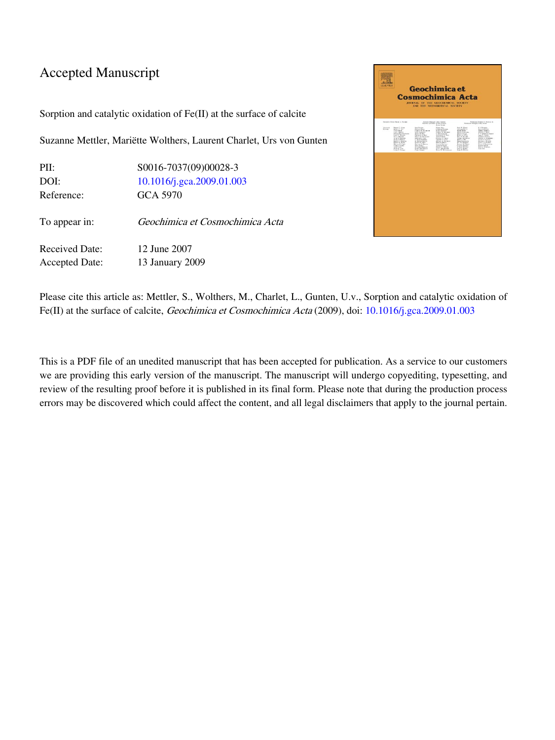# Accepted Manuscript

Sorption and catalytic oxidation of Fe(II) at the surface of calcite

Suzanne Mettler, Mariëtte Wolthers, Laurent Charlet, Urs von Gunten

| PII:                  | S0016-7037(09)00028-3           |
|-----------------------|---------------------------------|
| DOI:                  | 10.1016/j.gca.2009.01.003       |
| Reference:            | GCA 5970                        |
| To appear in:         | Geochimica et Cosmochimica Acta |
| Received Date:        | 12 June 2007                    |
| <b>Accepted Date:</b> | 13 January 2009                 |



Please cite this article as: Mettler, S., Wolthers, M., Charlet, L., Gunten, U.v., Sorption and catalytic oxidation of Fe(II) at the surface of calcite, *Geochimica et Cosmochimica Acta* (2009), doi: [10.1016/j.gca.2009.01.003](http://dx.doi.org/10.1016/j.gca.2009.01.003)

This is a PDF file of an unedited manuscript that has been accepted for publication. As a service to our customers we are providing this early version of the manuscript. The manuscript will undergo copyediting, typesetting, and review of the resulting proof before it is published in its final form. Please note that during the production process errors may be discovered which could affect the content, and all legal disclaimers that apply to the journal pertain.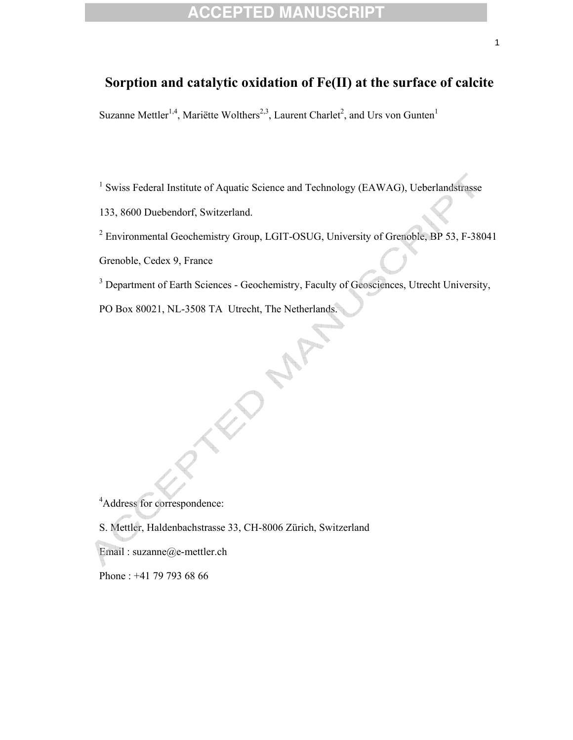# **Sorption and catalytic oxidation of Fe(II) at the surface of calcite**

Suzanne Mettler<sup>1,4</sup>, Mariëtte Wolthers<sup>2,3</sup>, Laurent Charlet<sup>2</sup>, and Urs von Gunten<sup>1</sup>

<sup>1</sup> Swiss Federal Institute of Aquatic Science and Technology (EAWAG), Ueberlandstrasse

133, 8600 Duebendorf, Switzerland.

<sup>2</sup> Environmental Geochemistry Group, LGIT-OSUG, University of Grenoble, BP 53, F-38041

Grenoble, Cedex 9, France

<sup>3</sup> Department of Earth Sciences - Geochemistry, Faculty of Geosciences, Utrecht University,

PO Box 80021, NL-3508 TA Utrecht, The Netherlands.

4 Address for correspondence:

S. Mettler, Haldenbachstrasse 33, CH-8006 Zürich, Switzerland

Email : suzanne@e-mettler.ch

Phone : +41 79 793 68 66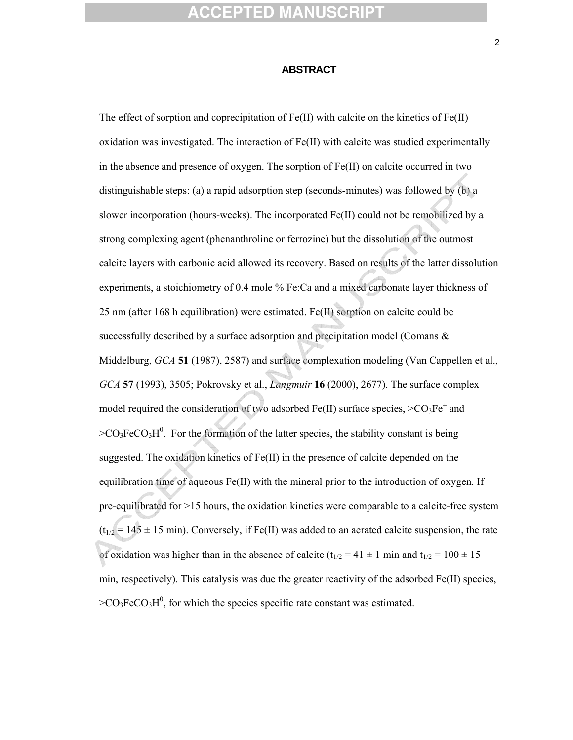#### **ABSTRACT**

The effect of sorption and coprecipitation of Fe(II) with calcite on the kinetics of Fe(II) oxidation was investigated. The interaction of Fe(II) with calcite was studied experimentally in the absence and presence of oxygen. The sorption of Fe(II) on calcite occurred in two distinguishable steps: (a) a rapid adsorption step (seconds-minutes) was followed by (b) a slower incorporation (hours-weeks). The incorporated Fe(II) could not be remobilized by a strong complexing agent (phenanthroline or ferrozine) but the dissolution of the outmost calcite layers with carbonic acid allowed its recovery. Based on results of the latter dissolution experiments, a stoichiometry of 0.4 mole % Fe:Ca and a mixed carbonate layer thickness of 25 nm (after 168 h equilibration) were estimated. Fe(II) sorption on calcite could be successfully described by a surface adsorption and precipitation model (Comans & Middelburg, *GCA* **51** (1987), 2587) and surface complexation modeling (Van Cappellen et al., *GCA* **57** (1993), 3505; Pokrovsky et al., *Langmuir* **16** (2000), 2677). The surface complex model required the consideration of two adsorbed  $Fe(II)$  surface species,  $>CO_3Fe^+$  and  $>CO_3FeCO_3H^0$ . For the formation of the latter species, the stability constant is being suggested. The oxidation kinetics of Fe(II) in the presence of calcite depended on the equilibration time of aqueous Fe(II) with the mineral prior to the introduction of oxygen. If pre-equilibrated for >15 hours, the oxidation kinetics were comparable to a calcite-free system  $(t_{1/2} = 145 \pm 15 \text{ min})$ . Conversely, if Fe(II) was added to an aerated calcite suspension, the rate of oxidation was higher than in the absence of calcite ( $t_{1/2} = 41 \pm 1$  min and  $t_{1/2} = 100 \pm 15$ min, respectively). This catalysis was due the greater reactivity of the adsorbed Fe(II) species,  $>CO<sub>3</sub>FeCO<sub>3</sub>H<sup>0</sup>$ , for which the species specific rate constant was estimated.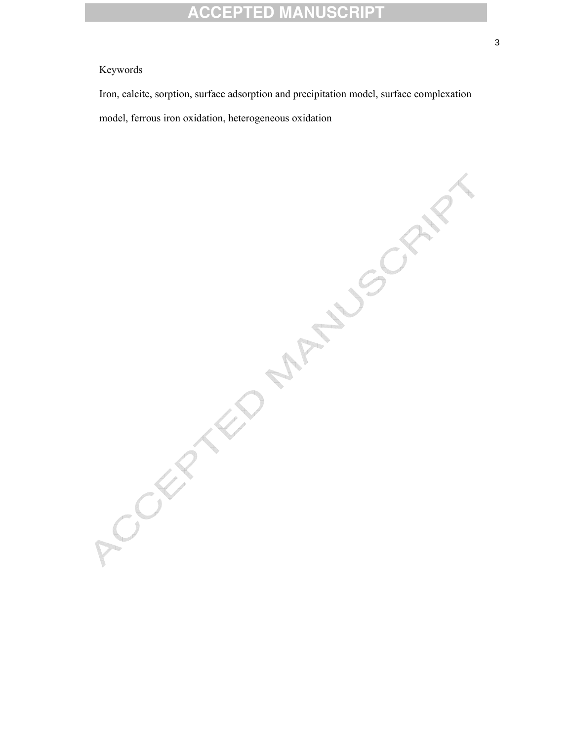#### Keywords

Iron, calcite, sorption, surface adsorption and precipitation model, surface complexation

model, ferrows iron oxidation, heterogeneous oxidation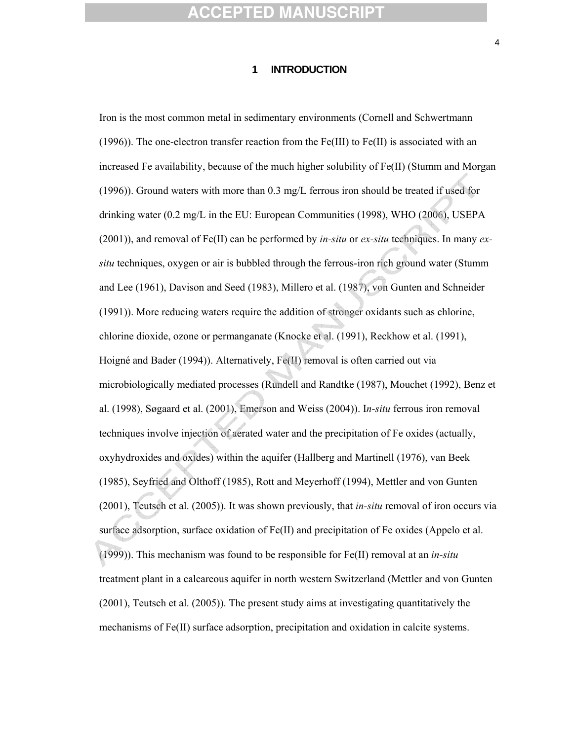#### **1 INTRODUCTION**

Iron is the most common metal in sedimentary environments (Cornell and Schwertmann (1996)). The one-electron transfer reaction from the Fe(III) to Fe(II) is associated with an increased Fe availability, because of the much higher solubility of Fe(II) (Stumm and Morgan (1996)). Ground waters with more than 0.3 mg/L ferrous iron should be treated if used for drinking water (0.2 mg/L in the EU: European Communities (1998), WHO (2006), USEPA (2001)), and removal of Fe(II) can be performed by *in-situ* or *ex-situ* techniques. In many *exsitu* techniques, oxygen or air is bubbled through the ferrous-iron rich ground water (Stumm and Lee (1961), Davison and Seed (1983), Millero et al. (1987), von Gunten and Schneider (1991)). More reducing waters require the addition of stronger oxidants such as chlorine, chlorine dioxide, ozone or permanganate (Knocke et al. (1991), Reckhow et al. (1991), Hoigné and Bader (1994)). Alternatively, Fe(II) removal is often carried out via microbiologically mediated processes (Rundell and Randtke (1987), Mouchet (1992), Benz et al. (1998), Søgaard et al. (2001), Emerson and Weiss (2004)). I*n-situ* ferrous iron removal techniques involve injection of aerated water and the precipitation of Fe oxides (actually, oxyhydroxides and oxides) within the aquifer (Hallberg and Martinell (1976), van Beek (1985), Seyfried and Olthoff (1985), Rott and Meyerhoff (1994), Mettler and von Gunten (2001), Teutsch et al. (2005)). It was shown previously, that *in-situ* removal of iron occurs via surface adsorption, surface oxidation of Fe(II) and precipitation of Fe oxides (Appelo et al. (1999)). This mechanism was found to be responsible for Fe(II) removal at an *in-situ* treatment plant in a calcareous aquifer in north western Switzerland (Mettler and von Gunten (2001), Teutsch et al. (2005)). The present study aims at investigating quantitatively the mechanisms of Fe(II) surface adsorption, precipitation and oxidation in calcite systems.

4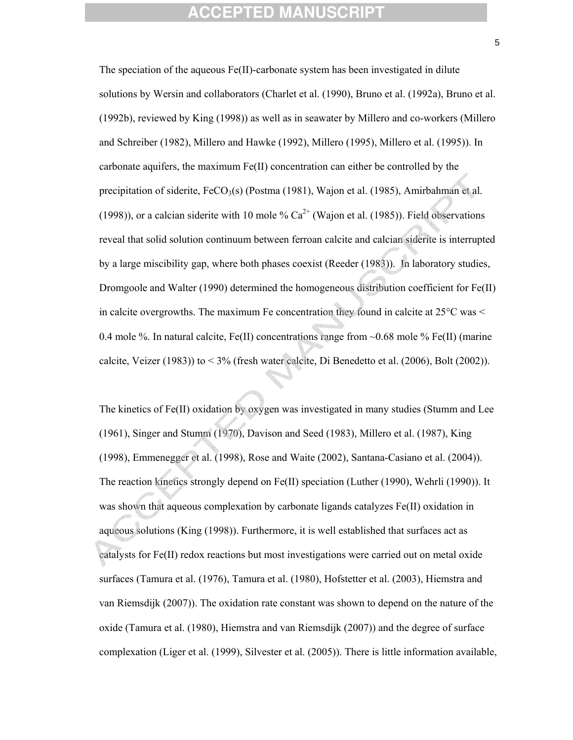The speciation of the aqueous Fe(II)-carbonate system has been investigated in dilute solutions by Wersin and collaborators (Charlet et al. (1990), Bruno et al. (1992a), Bruno et al. (1992b), reviewed by King (1998)) as well as in seawater by Millero and co-workers (Millero and Schreiber (1982), Millero and Hawke (1992), Millero (1995), Millero et al. (1995)). In carbonate aquifers, the maximum  $Fe(II)$  concentration can either be controlled by the precipitation of siderite,  $FeCO<sub>3</sub>(s)$  (Postma (1981), Wajon et al. (1985), Amirbahman et al. (1998)), or a calcian siderite with 10 mole  $\%$  Ca<sup>2+</sup> (Wajon et al. (1985)). Field observations reveal that solid solution continuum between ferroan calcite and calcian siderite is interrupted by a large miscibility gap, where both phases coexist (Reeder (1983)). In laboratory studies, Dromgoole and Walter (1990) determined the homogeneous distribution coefficient for Fe(II) in calcite overgrowths. The maximum Fe concentration they found in calcite at  $25^{\circ}$ C was  $\le$ 0.4 mole %. In natural calcite, Fe(II) concentrations range from  $\sim$ 0.68 mole % Fe(II) (marine calcite, Veizer (1983)) to < 3% (fresh water calcite, Di Benedetto et al. (2006), Bolt (2002)).

The kinetics of Fe(II) oxidation by oxygen was investigated in many studies (Stumm and Lee (1961), Singer and Stumm (1970), Davison and Seed (1983), Millero et al. (1987), King (1998), Emmenegger et al. (1998), Rose and Waite (2002), Santana-Casiano et al. (2004)). The reaction kinetics strongly depend on Fe(II) speciation (Luther (1990), Wehrli (1990)). It was shown that aqueous complexation by carbonate ligands catalyzes Fe(II) oxidation in aqueous solutions (King (1998)). Furthermore, it is well established that surfaces act as catalysts for Fe(II) redox reactions but most investigations were carried out on metal oxide surfaces (Tamura et al. (1976), Tamura et al. (1980), Hofstetter et al. (2003), Hiemstra and van Riemsdijk (2007)). The oxidation rate constant was shown to depend on the nature of the oxide (Tamura et al. (1980), Hiemstra and van Riemsdijk (2007)) and the degree of surface complexation (Liger et al. (1999), Silvester et al. (2005)). There is little information available,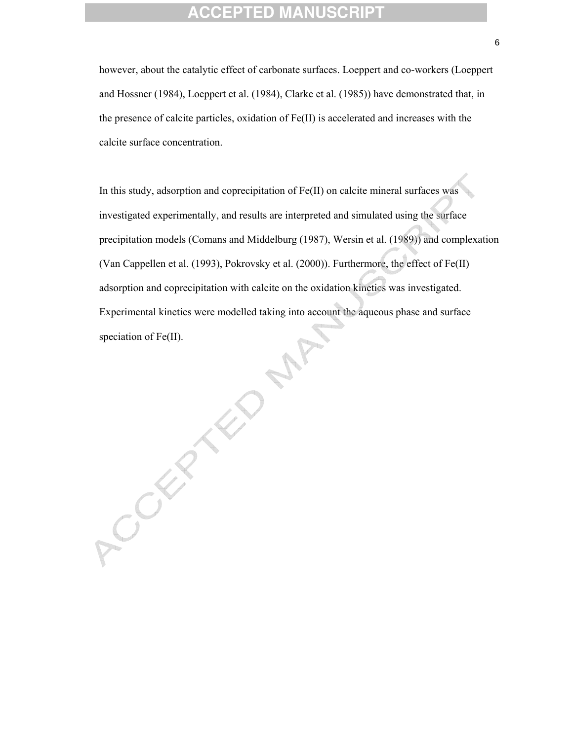however, about the catalytic effect of carbonate surfaces. Loeppert and co-workers (Loeppert and Hossner (1984), Loeppert et al. (1984), Clarke et al. (1985)) have demonstrated that, in the presence of calcite particles, oxidation of Fe(II) is accelerated and increases with the calcite surface concentration.

In this study, adsorption and coprecipitation of Fe(II) on calcite mineral surfaces was investigated experimentally, and results are interpreted and simulated using the surface precipitation models (Comans and Middelburg (1987), Wersin et al. (1989)) and complexation (Van Cappellen et al. (1993), Pokrovsky et al. (2000)). Furthermore, the effect of Fe(II) adsorption and coprecipitation with calcite on the oxidation kinetics was investigated. Experimental kinetics were modelled taking into account the aqueous phase and surface speciation of Fe(II).

 $x^2$ CCERE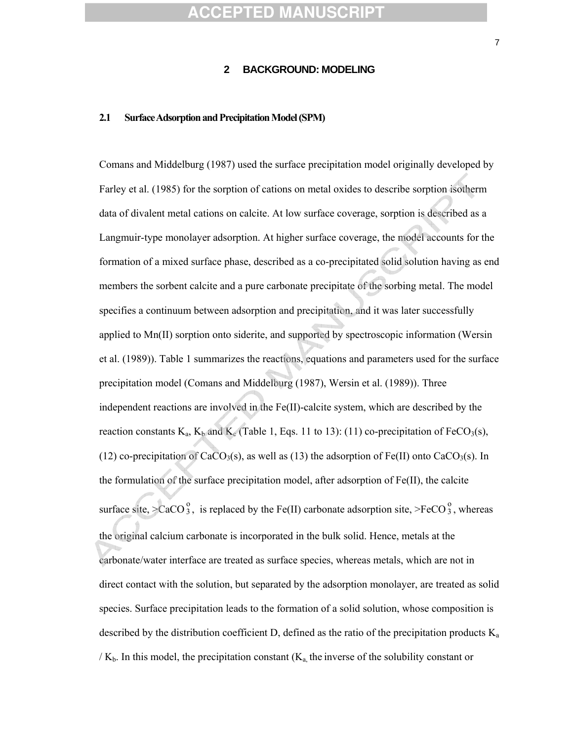#### **2 BACKGROUND: MODELING**

#### **2.1 Surface Adsorption and Precipitation Model (SPM)**

Comans and Middelburg (1987) used the surface precipitation model originally developed by Farley et al. (1985) for the sorption of cations on metal oxides to describe sorption isotherm data of divalent metal cations on calcite. At low surface coverage, sorption is described as a Langmuir-type monolayer adsorption. At higher surface coverage, the model accounts for the formation of a mixed surface phase, described as a co-precipitated solid solution having as end members the sorbent calcite and a pure carbonate precipitate of the sorbing metal. The model specifies a continuum between adsorption and precipitation, and it was later successfully applied to Mn(II) sorption onto siderite, and supported by spectroscopic information (Wersin et al. (1989)). Table 1 summarizes the reactions, equations and parameters used for the surface precipitation model (Comans and Middelburg (1987), Wersin et al. (1989)). Three independent reactions are involved in the Fe(II)-calcite system, which are described by the reaction constants  $K_a$ ,  $K_b$  and  $K_c$  (Table 1, Eqs. 11 to 13): (11) co-precipitation of FeCO<sub>3</sub>(s), (12) co-precipitation of CaCO<sub>3</sub>(s), as well as (13) the adsorption of Fe(II) onto CaCO<sub>3</sub>(s). In the formulation of the surface precipitation model, after adsorption of Fe(II), the calcite surface site, >CaCO $_3^0$ , is replaced by the Fe(II) carbonate adsorption site, >FeCO $_3^0$ , whereas the original calcium carbonate is incorporated in the bulk solid. Hence, metals at the carbonate/water interface are treated as surface species, whereas metals, which are not in direct contact with the solution, but separated by the adsorption monolayer, are treated as solid species. Surface precipitation leads to the formation of a solid solution, whose composition is described by the distribution coefficient D, defined as the ratio of the precipitation products  $K_a$  $/K_b$ . In this model, the precipitation constant  $(K_a)$ , the inverse of the solubility constant or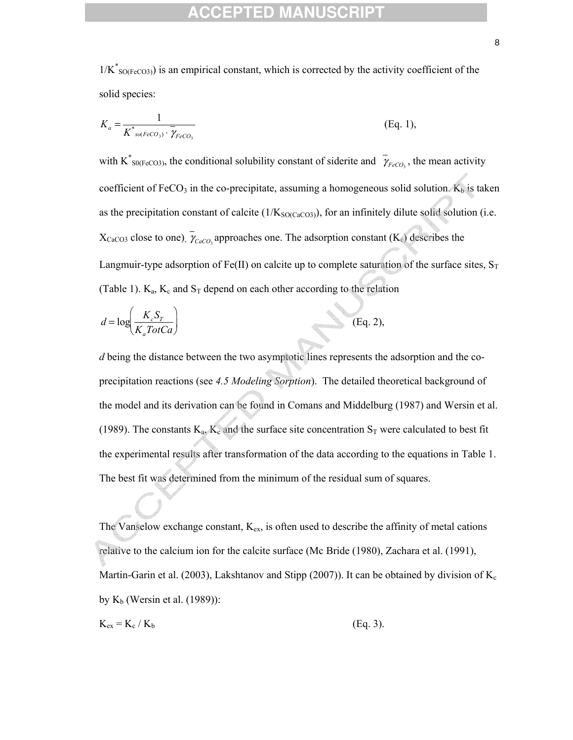$1/K^*_{\text{SO(FeCO3)}}$  is an empirical constant, which is corrected by the activity coefficient of the solid species:

$$
K_a = \frac{1}{K^*_{so(FeCO_3)} \cdot \overline{\gamma_{FeCO_3}}} \tag{Eq. 1}
$$

with K<sup>\*</sup> <sub>S0(FeCO3)</sub>, the conditional solubility constant of siderite and  $\bar{\gamma}_{F eCO_3}$ , the mean activity coefficient of FeCO<sub>3</sub> in the co-precipitate, assuming a homogeneous solid solution.  $K_b$  is taken as the precipitation constant of calcite  $(1/K_{SO(CaCO3)})$ , for an infinitely dilute solid solution (i.e.  $X_{\text{CaCO3}}$  close to one),  $\gamma_{\text{CaCO}_3}$  approaches one. The adsorption constant (K<sub>c</sub>) describes the Langmuir-type adsorption of Fe(II) on calcite up to complete saturation of the surface sites,  $S_T$ (Table 1).  $K_a$ ,  $K_c$  and  $S_T$  depend on each other according to the relation

$$
d = \log\left(\frac{K_c S_T}{K_a \text{TotCa}}\right) \tag{Eq. 2},
$$

*d* being the distance between the two asymptotic lines represents the adsorption and the coprecipitation reactions (see *4.5 Modeling Sorption*). The detailed theoretical background of the model and its derivation can be found in Comans and Middelburg (1987) and Wersin et al. (1989). The constants  $K_a$ ,  $K_c$  and the surface site concentration  $S_T$  were calculated to best fit the experimental results after transformation of the data according to the equations in Table 1. The best fit was determined from the minimum of the residual sum of squares.

The Vanselow exchange constant,  $K_{ex}$ , is often used to describe the affinity of metal cations relative to the calcium ion for the calcite surface (Mc Bride (1980), Zachara et al. (1991), Martin-Garin et al. (2003), Lakshtanov and Stipp (2007)). It can be obtained by division of  $K_c$ by  $K_b$  (Wersin et al. (1989)):

$$
K_{ex} = K_c / K_b
$$
 (Eq. 3).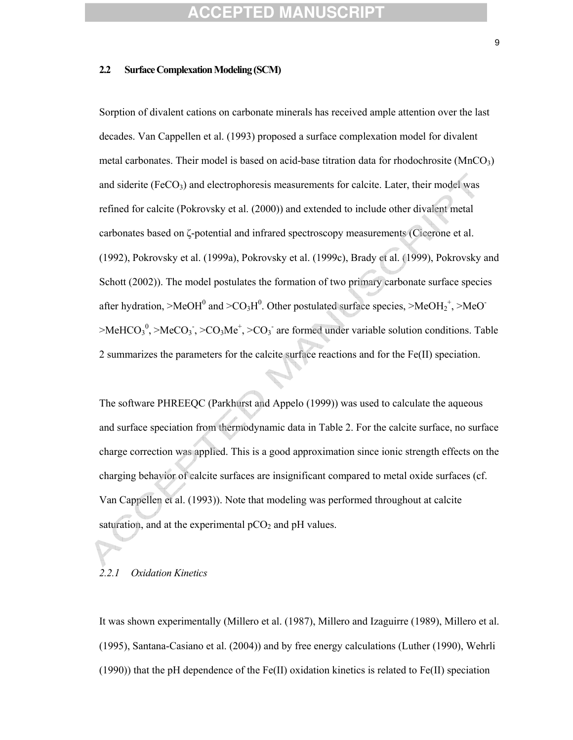#### **2.2 Surface Complexation Modeling (SCM)**

Sorption of divalent cations on carbonate minerals has received ample attention over the last decades. Van Cappellen et al. (1993) proposed a surface complexation model for divalent metal carbonates. Their model is based on acid-base titration data for rhodochrosite ( $MnCO<sub>3</sub>$ ) and siderite ( $FeCO<sub>3</sub>$ ) and electrophoresis measurements for calcite. Later, their model was refined for calcite (Pokrovsky et al. (2000)) and extended to include other divalent metal carbonates based on ζ-potential and infrared spectroscopy measurements (Cicerone et al. (1992), Pokrovsky et al. (1999a), Pokrovsky et al. (1999c), Brady et al. (1999), Pokrovsky and Schott (2002)). The model postulates the formation of two primary carbonate surface species after hydration, >MeOH<sup>0</sup> and >CO<sub>3</sub>H<sup>0</sup>. Other postulated surface species, >MeOH<sub>2</sub><sup>+</sup>, >MeO<sup>-</sup>  $>$ MeHCO<sub>3</sub><sup>0</sup>,  $>$ MeCO<sub>3</sub><sup>-</sup>,  $>$ CO<sub>3</sub>Me<sup>+</sup>,  $>$ CO<sub>3</sub><sup>-</sup> are formed under variable solution conditions. Table 2 summarizes the parameters for the calcite surface reactions and for the Fe(II) speciation.

The software PHREEQC (Parkhurst and Appelo (1999)) was used to calculate the aqueous and surface speciation from thermodynamic data in Table 2. For the calcite surface, no surface charge correction was applied. This is a good approximation since ionic strength effects on the charging behavior of calcite surfaces are insignificant compared to metal oxide surfaces (cf. Van Cappellen et al. (1993)). Note that modeling was performed throughout at calcite saturation, and at the experimental  $pCO<sub>2</sub>$  and  $pH$  values.

#### *2.2.1 Oxidation Kinetics*

It was shown experimentally (Millero et al. (1987), Millero and Izaguirre (1989), Millero et al. (1995), Santana-Casiano et al. (2004)) and by free energy calculations (Luther (1990), Wehrli (1990)) that the pH dependence of the Fe(II) oxidation kinetics is related to Fe(II) speciation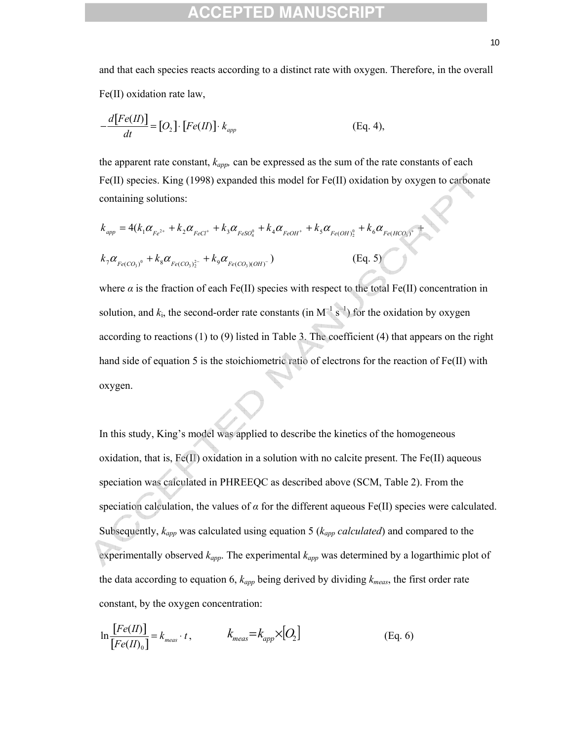and that each species reacts according to a distinct rate with oxygen. Therefore, in the overall Fe(II) oxidation rate law,

$$
-\frac{d[Fe(II)]}{dt} = [O_2] \cdot [Fe(II)] \cdot k_{app}
$$
 (Eq. 4),

the apparent rate constant, *kapp,* can be expressed as the sum of the rate constants of each Fe(II) species. King (1998) expanded this model for Fe(II) oxidation by oxygen to carbonate containing solutions:

$$
k_{app} = 4(k_1\alpha_{Fe^{2+}} + k_2\alpha_{FeCl^{+}} + k_3\alpha_{FeSO_4^{0}} + k_4\alpha_{FeOH^{+}} + k_5\alpha_{Fe(OH)_2^{0}} + k_6\alpha_{Fe(HCO_3)^{+}} + k_7\alpha_{Fe(CO_3)^{0}} + k_8\alpha_{Fe(CO_3)^{2}} + k_9\alpha_{Fe(CO_3)(OH)^{-}})
$$
\n(Eq. 5)

where  $\alpha$  is the fraction of each Fe(II) species with respect to the total Fe(II) concentration in solution, and  $k_i$ , the second-order rate constants (in M<sup>-1</sup> s<sup>-1</sup>) for the oxidation by oxygen according to reactions (1) to (9) listed in Table 3. The coefficient (4) that appears on the right hand side of equation 5 is the stoichiometric ratio of electrons for the reaction of Fe(II) with oxygen.

In this study, King's model was applied to describe the kinetics of the homogeneous oxidation, that is,  $Fe(II)$  oxidation in a solution with no calcite present. The Fe(II) aqueous speciation was calculated in PHREEQC as described above (SCM, Table 2). From the speciation calculation, the values of  $\alpha$  for the different aqueous Fe(II) species were calculated. Subsequently, *kapp* was calculated using equation 5 (*kapp calculated*) and compared to the experimentally observed *kapp*. The experimental *kapp* was determined by a logarthimic plot of the data according to equation 6, *kapp* being derived by dividing *kmeas*, the first order rate constant, by the oxygen concentration:

$$
\ln \frac{[Fe(II)]}{[Fe(II)_0]} = k_{meas} \cdot t, \qquad k_{meas} = k_{app} \times [O_2]
$$
 (Eq. 6)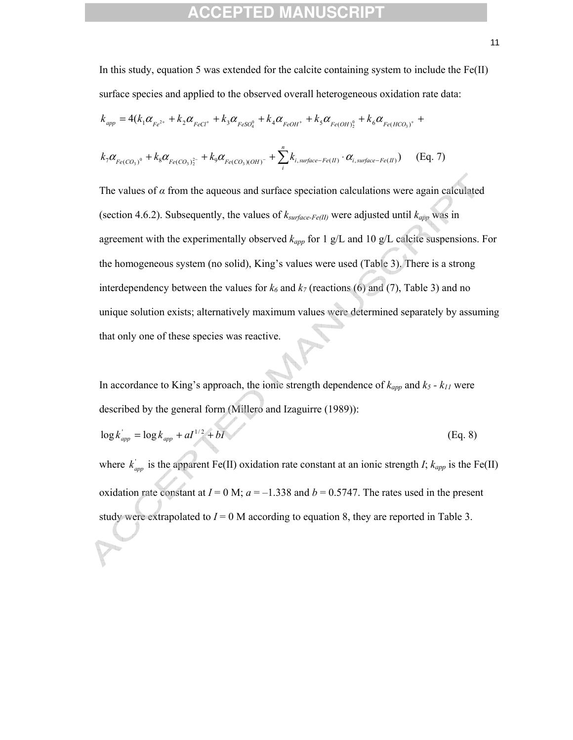## EPTED

In this study, equation 5 was extended for the calcite containing system to include the  $Fe(II)$ surface species and applied to the observed overall heterogeneous oxidation rate data:

$$
k_{app} = 4(k_1\alpha_{Fe^{2+}} + k_2\alpha_{FeCl^{+}} + k_3\alpha_{FeSO_4^{0}} + k_4\alpha_{FeOH^{+}} + k_5\alpha_{Fe(OH)_2^{0}} + k_6\alpha_{Fe(HCO_3)^{+}} +
$$

$$
k_7 \alpha_{Fe(CO_3)^0} + k_8 \alpha_{Fe(CO_3)^{2-}} + k_9 \alpha_{Fe(CO_3)(OH)^{-}} + \sum_{i}^{n} k_{i, surface-Fe(H)} \cdot \alpha_{i, surface-Fe(H)}) \quad \text{(Eq. 7)}
$$

The values of  $\alpha$  from the aqueous and surface speciation calculations were again calculated (section 4.6.2). Subsequently, the values of  $k_{surface\text{-}Fe(II)}$  were adjusted until  $k_{app}$  was in agreement with the experimentally observed *kapp* for 1 g/L and 10 g/L calcite suspensions. For the homogeneous system (no solid), King's values were used (Table 3). There is a strong interdependency between the values for  $k_6$  and  $k_7$  (reactions (6) and (7), Table 3) and no unique solution exists; alternatively maximum values were determined separately by assuming that only one of these species was reactive.

In accordance to King's approach, the ionic strength dependence of  $k_{app}$  and  $k_5 - k_{11}$  were described by the general form (Millero and Izaguirre (1989)):

$$
\log k_{app}^{\prime} = \log k_{app} + aI^{1/2} + bI \tag{Eq. 8}
$$

where  $k'_{app}$  is the apparent Fe(II) oxidation rate constant at an ionic strength *I*;  $k_{app}$  is the Fe(II) oxidation rate constant at  $I = 0$  M;  $a = -1.338$  and  $b = 0.5747$ . The rates used in the present study were extrapolated to  $I = 0$  M according to equation 8, they are reported in Table 3.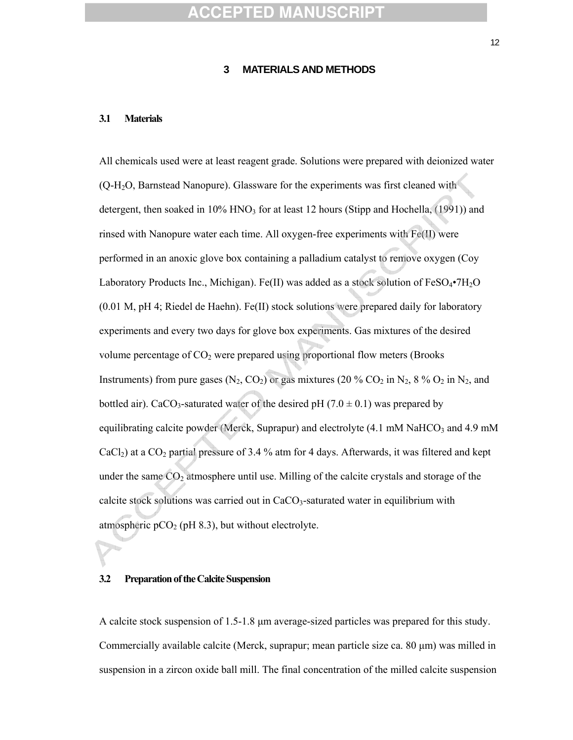#### **3 MATERIALS AND METHODS**

#### **3.1 Materials**

All chemicals used were at least reagent grade. Solutions were prepared with deionized water (Q-H2O, Barnstead Nanopure). Glassware for the experiments was first cleaned with detergent, then soaked in  $10\%$  HNO<sub>3</sub> for at least 12 hours (Stipp and Hochella,  $(1991)$ ) and rinsed with Nanopure water each time. All oxygen-free experiments with Fe(II) were performed in an anoxic glove box containing a palladium catalyst to remove oxygen (Coy Laboratory Products Inc., Michigan). Fe(II) was added as a stock solution of  $FeSO_4\bullet7H_2O$ (0.01 M, pH 4; Riedel de Haehn). Fe(II) stock solutions were prepared daily for laboratory experiments and every two days for glove box experiments. Gas mixtures of the desired volume percentage of  $CO<sub>2</sub>$  were prepared using proportional flow meters (Brooks Instruments) from pure gases  $(N_2, CO_2)$  or gas mixtures (20 %  $CO_2$  in  $N_2$ , 8 %  $O_2$  in  $N_2$ , and bottled air). CaCO<sub>3</sub>-saturated water of the desired pH (7.0  $\pm$  0.1) was prepared by equilibrating calcite powder (Merck, Suprapur) and electrolyte  $(4.1 \text{ mM } \text{NaHCO}_3 \text{ and } 4.9 \text{ mM }$  $CaCl<sub>2</sub>$ ) at a  $CO<sub>2</sub>$  partial pressure of 3.4 % atm for 4 days. Afterwards, it was filtered and kept under the same  $CO<sub>2</sub>$  atmosphere until use. Milling of the calcite crystals and storage of the calcite stock solutions was carried out in  $CaCO<sub>3</sub>$ -saturated water in equilibrium with atmospheric  $pCO<sub>2</sub>$  (pH 8.3), but without electrolyte.

#### **3.2 Preparation of the Calcite Suspension**

A calcite stock suspension of 1.5-1.8 μm average-sized particles was prepared for this study. Commercially available calcite (Merck, suprapur; mean particle size ca. 80 μm) was milled in suspension in a zircon oxide ball mill. The final concentration of the milled calcite suspension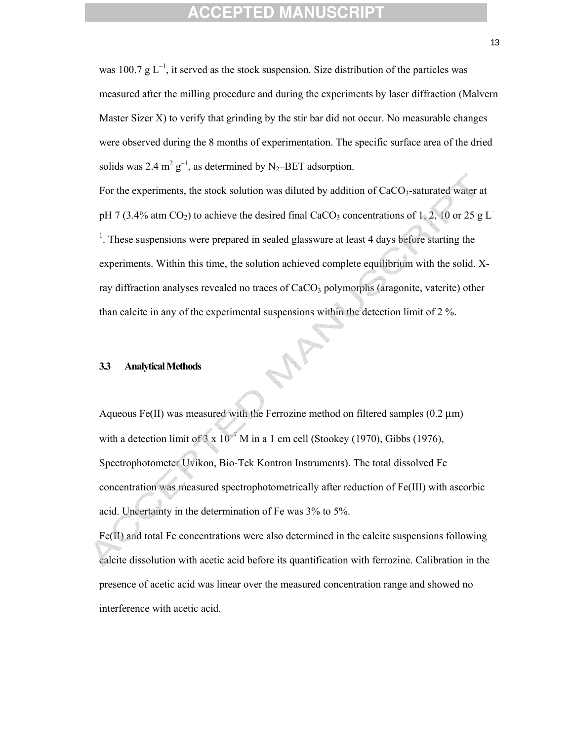was 100.7 g  $L^{-1}$ , it served as the stock suspension. Size distribution of the particles was measured after the milling procedure and during the experiments by laser diffraction (Malvern Master Sizer X) to verify that grinding by the stir bar did not occur. No measurable changes were observed during the 8 months of experimentation. The specific surface area of the dried solids was 2.4  $m^2 g^{-1}$ , as determined by N<sub>2</sub>-BET adsorption.

For the experiments, the stock solution was diluted by addition of  $CaCO<sub>3</sub>$ -saturated water at pH 7 (3.4% atm CO<sub>2</sub>) to achieve the desired final CaCO<sub>3</sub> concentrations of 1, 2, 10 or 25 g L<sup>–</sup> <sup>1</sup>. These suspensions were prepared in sealed glassware at least 4 days before starting the experiments. Within this time, the solution achieved complete equilibrium with the solid. Xray diffraction analyses revealed no traces of  $CaCO<sub>3</sub>$  polymorphs (aragonite, vaterite) other than calcite in any of the experimental suspensions within the detection limit of 2 %.

#### **3.3 Analytical Methods**

Aqueous Fe(II) was measured with the Ferrozine method on filtered samples  $(0.2 \mu m)$ with a detection limit of  $3 \times 10^{-7}$  M in a 1 cm cell (Stookey (1970), Gibbs (1976), Spectrophotometer Uvikon, Bio-Tek Kontron Instruments). The total dissolved Fe concentration was measured spectrophotometrically after reduction of Fe(III) with ascorbic acid. Uncertainty in the determination of Fe was 3% to 5%.

Fe(II) and total Fe concentrations were also determined in the calcite suspensions following calcite dissolution with acetic acid before its quantification with ferrozine. Calibration in the presence of acetic acid was linear over the measured concentration range and showed no interference with acetic acid.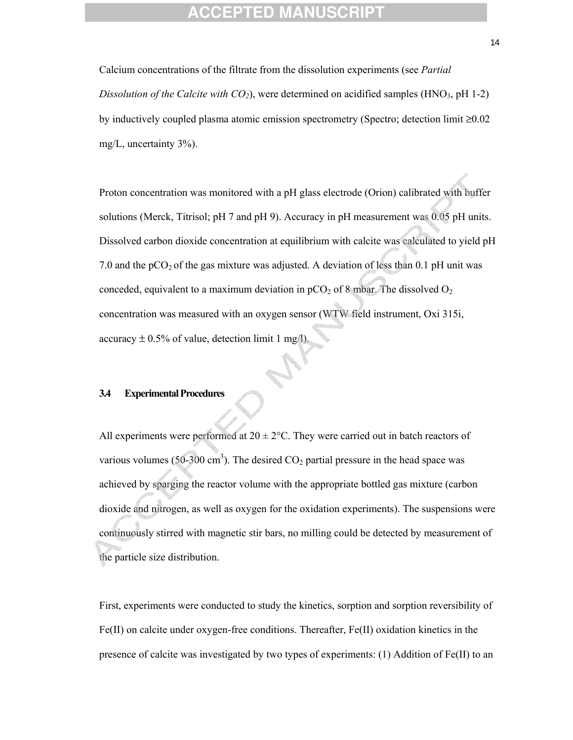Calcium concentrations of the filtrate from the dissolution experiments (see *Partial Dissolution of the Calcite with CO<sub>2</sub>*), were determined on acidified samples (HNO<sub>3</sub>, pH 1-2) by inductively coupled plasma atomic emission spectrometry (Spectro; detection limit ≥0.02 mg/L, uncertainty 3%).

Proton concentration was monitored with a pH glass electrode (Orion) calibrated with buffer solutions (Merck, Titrisol; pH 7 and pH 9). Accuracy in pH measurement was 0.05 pH units. Dissolved carbon dioxide concentration at equilibrium with calcite was calculated to yield pH 7.0 and the  $pCO<sub>2</sub>$  of the gas mixture was adjusted. A deviation of less than 0.1 pH unit was conceded, equivalent to a maximum deviation in  $pCO<sub>2</sub>$  of 8 mbar. The dissolved  $O<sub>2</sub>$ concentration was measured with an oxygen sensor (WTW field instrument, Oxi 315i, accuracy  $\pm$  0.5% of value, detection limit 1 mg/l).

#### **3.4 Experimental Procedures**

All experiments were performed at  $20 \pm 2$ °C. They were carried out in batch reactors of various volumes (50-300 cm<sup>3</sup>). The desired  $CO_2$  partial pressure in the head space was achieved by sparging the reactor volume with the appropriate bottled gas mixture (carbon dioxide and nitrogen, as well as oxygen for the oxidation experiments). The suspensions were continuously stirred with magnetic stir bars, no milling could be detected by measurement of the particle size distribution.

First, experiments were conducted to study the kinetics, sorption and sorption reversibility of Fe(II) on calcite under oxygen-free conditions. Thereafter, Fe(II) oxidation kinetics in the presence of calcite was investigated by two types of experiments: (1) Addition of Fe(II) to an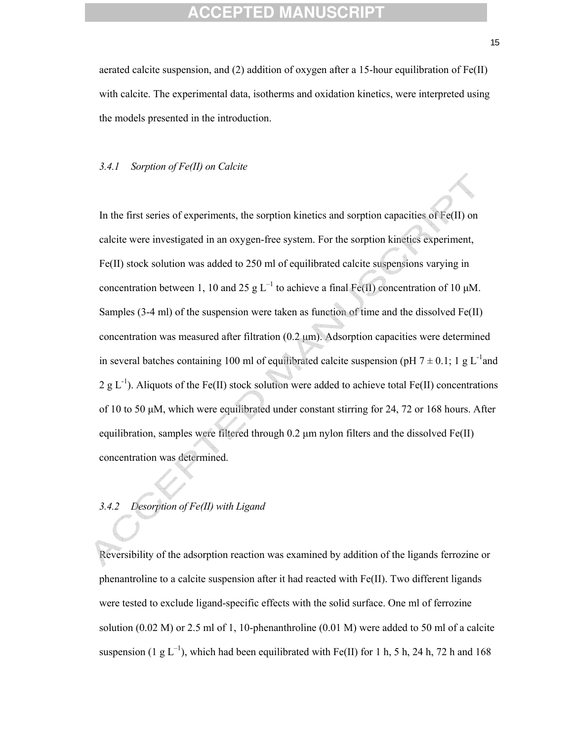aerated calcite suspension, and (2) addition of oxygen after a 15-hour equilibration of Fe(II) with calcite. The experimental data, isotherms and oxidation kinetics, were interpreted using the models presented in the introduction.

#### *3.4.1 Sorption of Fe(II) on Calcite*

In the first series of experiments, the sorption kinetics and sorption capacities of Fe(II) on calcite were investigated in an oxygen-free system. For the sorption kinetics experiment, Fe(II) stock solution was added to 250 ml of equilibrated calcite suspensions varying in concentration between 1, 10 and 25 g  $L^{-1}$  to achieve a final Fe(II) concentration of 10  $\mu$ M. Samples (3-4 ml) of the suspension were taken as function of time and the dissolved Fe(II) concentration was measured after filtration (0.2 μm). Adsorption capacities were determined in several batches containing 100 ml of equilibrated calcite suspension (pH  $7 \pm 0.1$ ; 1 g L<sup>-1</sup>and 2 g  $L^{-1}$ ). Aliquots of the Fe(II) stock solution were added to achieve total Fe(II) concentrations of 10 to 50 μM, which were equilibrated under constant stirring for 24, 72 or 168 hours. After equilibration, samples were filtered through 0.2 μm nylon filters and the dissolved Fe(II) concentration was determined.

### *3.4.2 Desorption of Fe(II) with Ligand*

Reversibility of the adsorption reaction was examined by addition of the ligands ferrozine or phenantroline to a calcite suspension after it had reacted with Fe(II). Two different ligands were tested to exclude ligand-specific effects with the solid surface. One ml of ferrozine solution (0.02 M) or 2.5 ml of 1, 10-phenanthroline (0.01 M) were added to 50 ml of a calcite suspension (1 g  $L^{-1}$ ), which had been equilibrated with Fe(II) for 1 h, 5 h, 24 h, 72 h and 168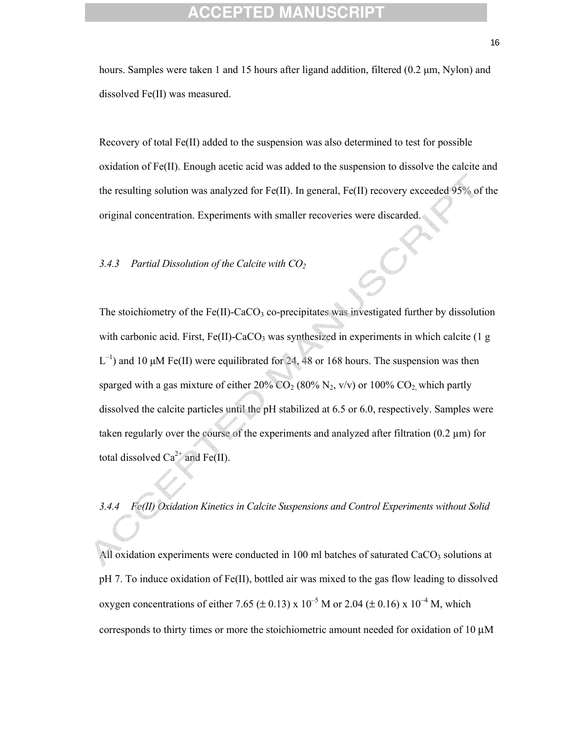hours. Samples were taken 1 and 15 hours after ligand addition, filtered (0.2 μm, Nylon) and dissolved Fe(II) was measured.

Recovery of total Fe(II) added to the suspension was also determined to test for possible oxidation of Fe(II). Enough acetic acid was added to the suspension to dissolve the calcite and the resulting solution was analyzed for Fe(II). In general, Fe(II) recovery exceeded 95% of the original concentration. Experiments with smaller recoveries were discarded.

#### *3.4.3 Partial Dissolution of the Calcite with CO2*

The stoichiometry of the Fe(II)-CaCO<sub>3</sub> co-precipitates was investigated further by dissolution with carbonic acid. First,  $Fe(II)$ -CaCO<sub>3</sub> was synthesized in experiments in which calcite (1 g  $L^{-1}$ ) and 10 μM Fe(II) were equilibrated for 24, 48 or 168 hours. The suspension was then sparged with a gas mixture of either  $20\%$  CO<sub>2</sub> (80% N<sub>2</sub>, v/v) or 100% CO<sub>2</sub>, which partly dissolved the calcite particles until the pH stabilized at 6.5 or 6.0, respectively. Samples were taken regularly over the course of the experiments and analyzed after filtration  $(0.2 \mu m)$  for total dissolved  $Ca^{2+}$  and Fe(II).

*3.4.4 Fe(II) Oxidation Kinetics in Calcite Suspensions and Control Experiments without Solid* 

All oxidation experiments were conducted in 100 ml batches of saturated  $CaCO<sub>3</sub>$  solutions at pH 7. To induce oxidation of Fe(II), bottled air was mixed to the gas flow leading to dissolved oxygen concentrations of either 7.65 ( $\pm$  0.13) x 10<sup>-5</sup> M or 2.04 ( $\pm$  0.16) x 10<sup>-4</sup> M, which corresponds to thirty times or more the stoichiometric amount needed for oxidation of 10 μM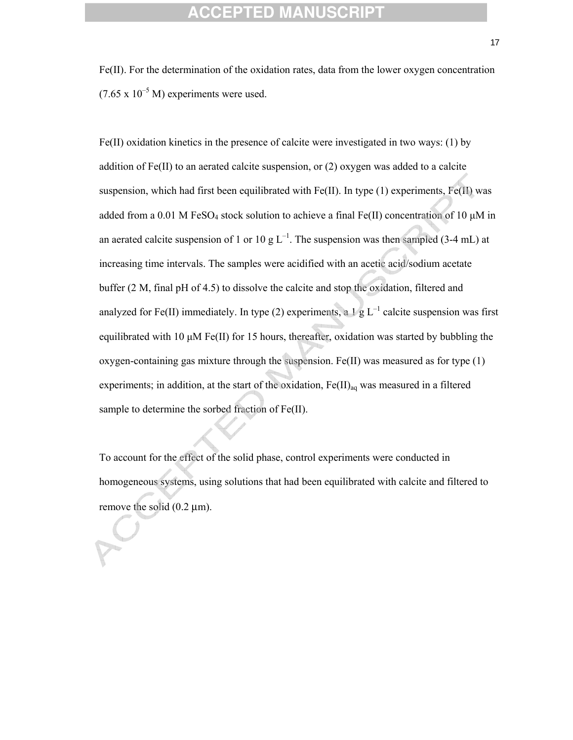Fe(II). For the determination of the oxidation rates, data from the lower oxygen concentration  $(7.65 \times 10^{-5} \text{ M})$  experiments were used.

Fe(II) oxidation kinetics in the presence of calcite were investigated in two ways: (1) by addition of Fe(II) to an aerated calcite suspension, or (2) oxygen was added to a calcite suspension, which had first been equilibrated with  $Fe(II)$ . In type (1) experiments,  $Fe(II)$  was added from a 0.01 M FeSO<sub>4</sub> stock solution to achieve a final Fe(II) concentration of 10  $\mu$ M in an aerated calcite suspension of 1 or 10 g  $L^{-1}$ . The suspension was then sampled (3-4 mL) at increasing time intervals. The samples were acidified with an acetic acid/sodium acetate buffer (2 M, final pH of 4.5) to dissolve the calcite and stop the oxidation, filtered and analyzed for Fe(II) immediately. In type (2) experiments, a  $1 \text{ g L}^{-1}$  calcite suspension was first equilibrated with 10 μM Fe(II) for 15 hours, thereafter, oxidation was started by bubbling the oxygen-containing gas mixture through the suspension. Fe(II) was measured as for type (1) experiments; in addition, at the start of the oxidation,  $Fe(II)_{aq}$  was measured in a filtered sample to determine the sorbed fraction of Fe(II).

To account for the effect of the solid phase, control experiments were conducted in homogeneous systems, using solutions that had been equilibrated with calcite and filtered to remove the solid (0.2 μm).

17 and 17 and 17 and 17 and 17 and 17 and 17 and 17 and 17 and 17 and 17 and 17 and 17 and 17 and 17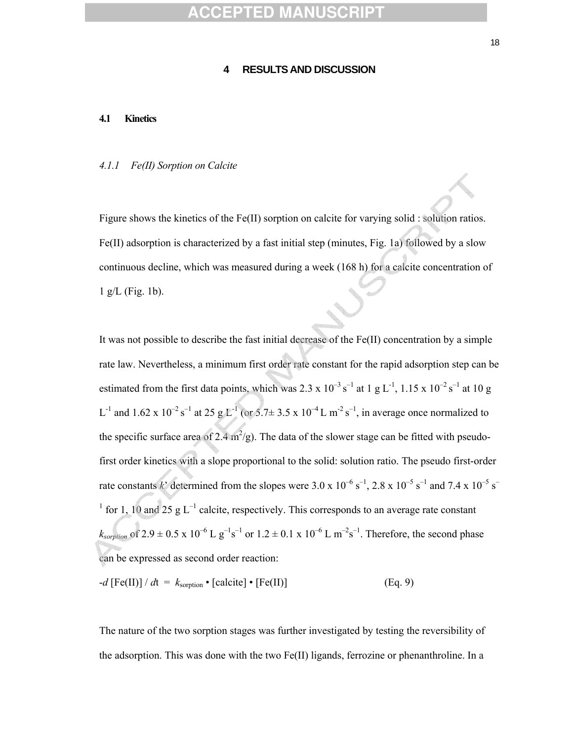#### **4 RESULTS AND DISCUSSION**

#### **4.1 Kinetics**

#### *4.1.1 Fe(II) Sorption on Calcite*

Figure shows the kinetics of the Fe(II) sorption on calcite for varying solid : solution ratios. Fe(II) adsorption is characterized by a fast initial step (minutes, Fig. 1a) followed by a slow continuous decline, which was measured during a week (168 h) for a calcite concentration of 1 g/L (Fig. 1b).

It was not possible to describe the fast initial decrease of the  $Fe(II)$  concentration by a simple rate law. Nevertheless, a minimum first order rate constant for the rapid adsorption step can be estimated from the first data points, which was 2.3 x  $10^{-3}$  s<sup>-1</sup> at 1 g L<sup>-1</sup>, 1.15 x  $10^{-2}$  s<sup>-1</sup> at 10 g  $L^{-1}$  and 1.62 x 10<sup>-2</sup> s<sup>-1</sup> at 25 g  $L^{-1}$  (or 5.7 ± 3.5 x 10<sup>-4</sup> L m<sup>-2</sup> s<sup>-1</sup>, in average once normalized to the specific surface area of 2.4  $m^2/g$ ). The data of the slower stage can be fitted with pseudofirst order kinetics with a slope proportional to the solid: solution ratio. The pseudo first-order rate constants k' determined from the slopes were  $3.0 \times 10^{-6}$  s<sup>-1</sup>,  $2.8 \times 10^{-5}$  s<sup>-1</sup> and  $7.4 \times 10^{-5}$  s<sup>-1</sup> <sup>1</sup> for 1, 10 and 25 g L<sup>-1</sup> calcite, respectively. This corresponds to an average rate constant  $k_{\text{sorption}}$  of 2.9  $\pm$  0.5 x 10<sup>-6</sup> L g<sup>-1</sup>s<sup>-1</sup> or 1.2  $\pm$  0.1 x 10<sup>-6</sup> L m<sup>-2</sup>s<sup>-1</sup>. Therefore, the second phase can be expressed as second order reaction:

$$
-d [Fe(II)] / dt = k_{\text{sorption}} \cdot [calcite] \cdot [Fe(II)] \tag{Eq. 9}
$$

The nature of the two sorption stages was further investigated by testing the reversibility of the adsorption. This was done with the two Fe(II) ligands, ferrozine or phenanthroline. In a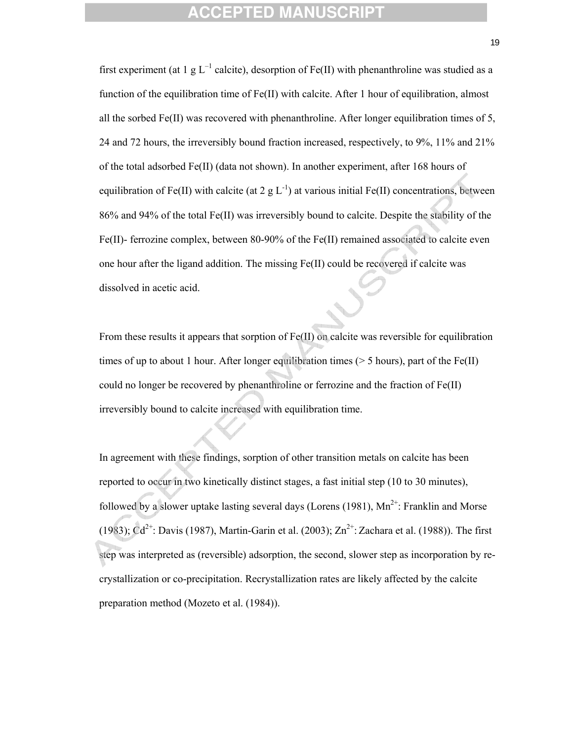first experiment (at 1 g  $L^{-1}$  calcite), desorption of Fe(II) with phenanthroline was studied as a function of the equilibration time of Fe(II) with calcite. After 1 hour of equilibration, almost all the sorbed Fe(II) was recovered with phenanthroline. After longer equilibration times of 5, 24 and 72 hours, the irreversibly bound fraction increased, respectively, to 9%, 11% and 21% of the total adsorbed Fe(II) (data not shown). In another experiment, after 168 hours of equilibration of Fe(II) with calcite (at 2 g  $L^{-1}$ ) at various initial Fe(II) concentrations, between 86% and 94% of the total Fe(II) was irreversibly bound to calcite. Despite the stability of the Fe(II)- ferrozine complex, between 80-90% of the Fe(II) remained associated to calcite even one hour after the ligand addition. The missing Fe(II) could be recovered if calcite was dissolved in acetic acid.

From these results it appears that sorption of Fe(II) on calcite was reversible for equilibration times of up to about 1 hour. After longer equilibration times ( $> 5$  hours), part of the Fe(II) could no longer be recovered by phenanthroline or ferrozine and the fraction of Fe(II) irreversibly bound to calcite increased with equilibration time.

In agreement with these findings, sorption of other transition metals on calcite has been reported to occur in two kinetically distinct stages, a fast initial step (10 to 30 minutes), followed by a slower uptake lasting several days (Lorens (1981),  $Mn^{2+}$ : Franklin and Morse (1983);  $Cd^{2+}$ : Davis (1987), Martin-Garin et al. (2003);  $Zn^{2+}$ : Zachara et al. (1988)). The first step was interpreted as (reversible) adsorption, the second, slower step as incorporation by recrystallization or co-precipitation. Recrystallization rates are likely affected by the calcite preparation method (Mozeto et al. (1984)).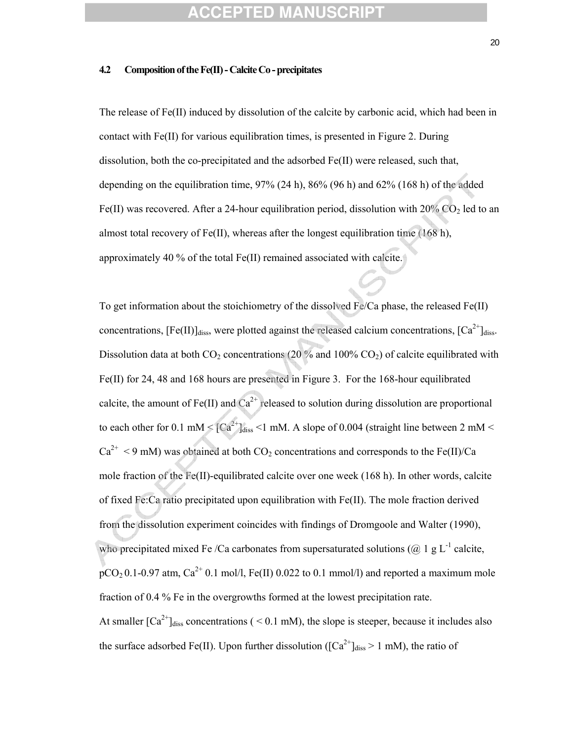#### **4.2 Composition of the Fe(II) - Calcite Co - precipitates**

The release of Fe(II) induced by dissolution of the calcite by carbonic acid, which had been in contact with Fe(II) for various equilibration times, is presented in Figure 2. During dissolution, both the co-precipitated and the adsorbed Fe(II) were released, such that, depending on the equilibration time, 97% (24 h), 86% (96 h) and 62% (168 h) of the added Fe(II) was recovered. After a 24-hour equilibration period, dissolution with  $20\%$  CO<sub>2</sub> led to an almost total recovery of Fe(II), whereas after the longest equilibration time (168 h), approximately 40 % of the total Fe(II) remained associated with calcite.

To get information about the stoichiometry of the dissolved Fe/Ca phase, the released Fe(II) concentrations,  $[Fe(II)]_{diss}$ , were plotted against the released calcium concentrations,  $[Ca^{2+}]_{diss}$ . Dissolution data at both  $CO_2$  concentrations (20 % and 100%  $CO_2$ ) of calcite equilibrated with Fe(II) for 24, 48 and 168 hours are presented in Figure 3. For the 168-hour equilibrated calcite, the amount of Fe(II) and  $Ca^{2+}$  released to solution during dissolution are proportional to each other for 0.1 mM  $\leq$   $|Ca^{2+}$  diss  $\leq$  1 mM. A slope of 0.004 (straight line between 2 mM  $\leq$  $Ca^{2+}$  < 9 mM) was obtained at both CO<sub>2</sub> concentrations and corresponds to the Fe(II)/Ca mole fraction of the Fe(II)-equilibrated calcite over one week (168 h). In other words, calcite of fixed Fe:Ca ratio precipitated upon equilibration with Fe(II). The mole fraction derived from the dissolution experiment coincides with findings of Dromgoole and Walter (1990), who precipitated mixed Fe /Ca carbonates from supersaturated solutions ( $@$ , 1 g L<sup>-1</sup> calcite,  $pCO<sub>2</sub> 0.1$ -0.97 atm,  $Ca<sup>2+</sup> 0.1$  mol/l, Fe(II) 0.022 to 0.1 mmol/l) and reported a maximum mole fraction of 0.4 % Fe in the overgrowths formed at the lowest precipitation rate. At smaller  $\lceil Ca^{2+} \rceil_{\text{diss}}$  concentrations ( < 0.1 mM), the slope is steeper, because it includes also the surface adsorbed Fe(II). Upon further dissolution ( $\left[Ca^{2+}\right]_{\text{diss}} > 1$  mM), the ratio of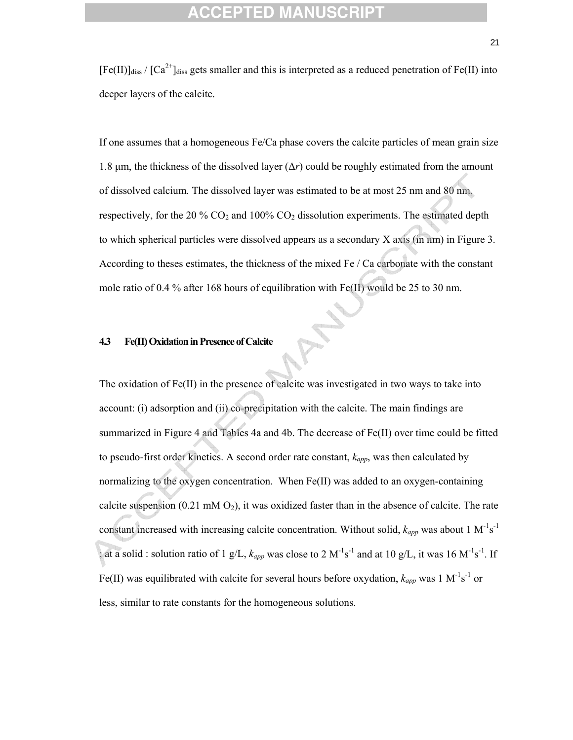$[Fe(II)]_{\text{diss}} / [Ca^{2+}]_{\text{diss}}$  gets smaller and this is interpreted as a reduced penetration of Fe(II) into deeper layers of the calcite.

If one assumes that a homogeneous Fe/Ca phase covers the calcite particles of mean grain size 1.8 μm, the thickness of the dissolved layer (Δ*r*) could be roughly estimated from the amount of dissolved calcium. The dissolved layer was estimated to be at most 25 nm and 80 nm, respectively, for the 20 %  $CO<sub>2</sub>$  and 100%  $CO<sub>2</sub>$  dissolution experiments. The estimated depth to which spherical particles were dissolved appears as a secondary X axis (in nm) in Figure 3. According to theses estimates, the thickness of the mixed Fe / Ca carbonate with the constant mole ratio of 0.4 % after 168 hours of equilibration with Fe(II) would be 25 to 30 nm.

#### **4.3 Fe(II) Oxidation in Presence of Calcite**

The oxidation of Fe(II) in the presence of calcite was investigated in two ways to take into account: (i) adsorption and (ii) co-precipitation with the calcite. The main findings are summarized in Figure 4 and Tables 4a and 4b. The decrease of Fe(II) over time could be fitted to pseudo-first order kinetics. A second order rate constant, *kapp*, was then calculated by normalizing to the oxygen concentration. When Fe(II) was added to an oxygen-containing calcite suspension (0.21 mM  $O_2$ ), it was oxidized faster than in the absence of calcite. The rate constant increased with increasing calcite concentration. Without solid,  $k_{app}$  was about 1 M<sup>-1</sup>s<sup>-1</sup> ; at a solid : solution ratio of 1 g/L,  $k_{app}$  was close to 2 M<sup>-1</sup>s<sup>-1</sup> and at 10 g/L, it was 16 M<sup>-1</sup>s<sup>-1</sup>. If Fe(II) was equilibrated with calcite for several hours before oxydation,  $k_{app}$  was 1 M<sup>-1</sup>s<sup>-1</sup> or less, similar to rate constants for the homogeneous solutions.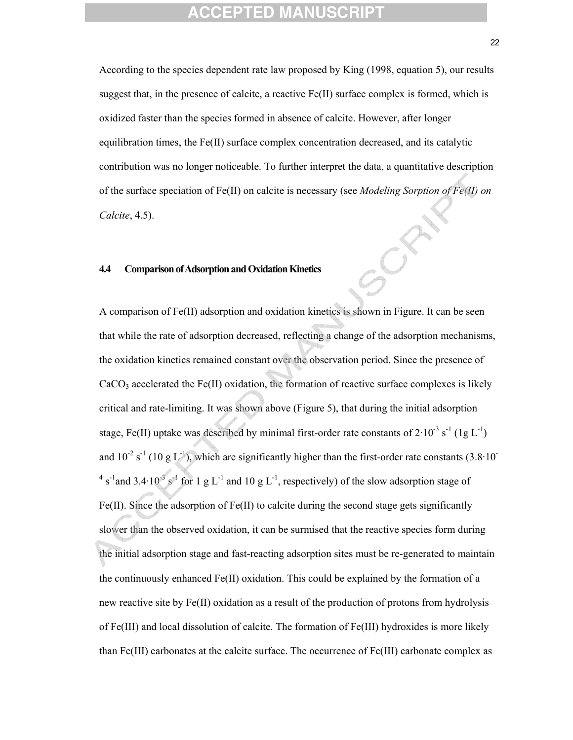According to the species dependent rate law proposed by King (1998, equation 5), our results suggest that, in the presence of calcite, a reactive Fe(II) surface complex is formed, which is oxidized faster than the species formed in absence of calcite. However, after longer equilibration times, the Fe(II) surface complex concentration decreased, and its catalytic contribution was no longer noticeable. To further interpret the data, a quantitative description of the surface speciation of Fe(II) on calcite is necessary (see *Modeling Sorption of Fe(II) on Calcite*, 4.5).

#### **4.4 Comparison of Adsorption and Oxidation Kinetics**

A comparison of Fe(II) adsorption and oxidation kinetics is shown in Figure. It can be seen that while the rate of adsorption decreased, reflecting a change of the adsorption mechanisms, the oxidation kinetics remained constant over the observation period. Since the presence of  $CaCO<sub>3</sub> accelerated the Fe(II) oxidation, the formation of reactive surface complexes is likely$ critical and rate-limiting. It was shown above (Figure 5), that during the initial adsorption stage, Fe(II) uptake was described by minimal first-order rate constants of  $2 \cdot 10^{-3}$  s<sup>-1</sup> (1g L<sup>-1</sup>) and  $10^{-2}$  s<sup>-1</sup> (10 g L<sup>-1</sup>), which are significantly higher than the first-order rate constants (3.8·10<sup>-</sup> <sup>4</sup> s<sup>-1</sup> and 3.4·10<sup>-3</sup> s<sup>-1</sup> for 1 g L<sup>-1</sup> and 10 g L<sup>-1</sup>, respectively) of the slow adsorption stage of  $Fe(II)$ . Since the adsorption of  $Fe(II)$  to calcite during the second stage gets significantly slower than the observed oxidation, it can be surmised that the reactive species form during the initial adsorption stage and fast-reacting adsorption sites must be re-generated to maintain the continuously enhanced  $Fe(H)$  oxidation. This could be explained by the formation of a new reactive site by Fe(II) oxidation as a result of the production of protons from hydrolysis of Fe(III) and local dissolution of calcite. The formation of Fe(III) hydroxides is more likely than Fe(III) carbonates at the calcite surface. The occurrence of Fe(III) carbonate complex as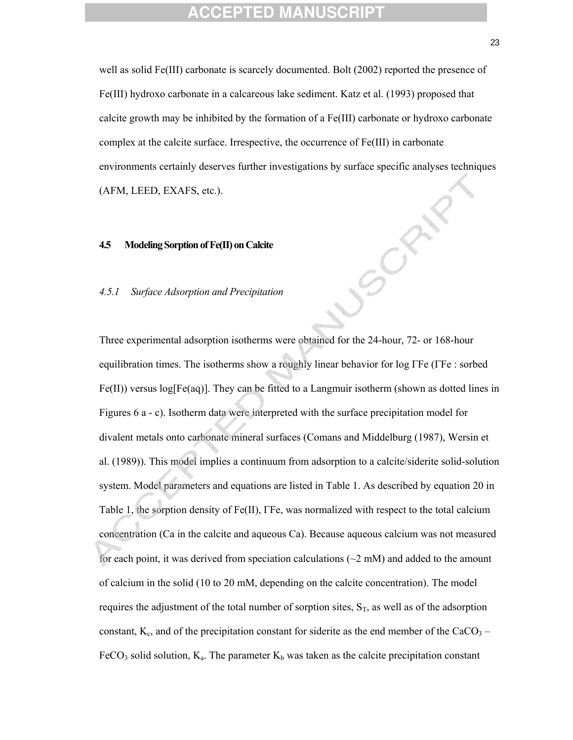well as solid Fe(III) carbonate is scarcely documented. Bolt (2002) reported the presence of Fe(III) hydroxo carbonate in a calcareous lake sediment. Katz et al. (1993) proposed that calcite growth may be inhibited by the formation of a  $Fe(III)$  carbonate or hydroxo carbonate complex at the calcite surface. Irrespective, the occurrence of Fe(III) in carbonate environments certainly deserves further investigations by surface specific analyses techniques (AFM, LEED, EXAFS, etc.).

#### **4.5 Modeling Sorption of Fe(II) on Calcite**

#### *4.5.1 Surface Adsorption and Precipitation*

Three experimental adsorption isotherms were obtained for the 24-hour, 72- or 168-hour equilibration times. The isotherms show a roughly linear behavior for log ΓFe (ΓFe : sorbed  $Fe(II)$ ) versus log[Fe(aq)]. They can be fitted to a Langmuir isotherm (shown as dotted lines in Figures 6 a - c). Isotherm data were interpreted with the surface precipitation model for divalent metals onto carbonate mineral surfaces (Comans and Middelburg (1987), Wersin et al. (1989)). This model implies a continuum from adsorption to a calcite/siderite solid-solution system. Model parameters and equations are listed in Table 1. As described by equation 20 in Table 1, the sorption density of Fe(II), ΓFe, was normalized with respect to the total calcium concentration (Ca in the calcite and aqueous Ca). Because aqueous calcium was not measured for each point, it was derived from speciation calculations ( $\sim$ 2 mM) and added to the amount of calcium in the solid (10 to 20 mM, depending on the calcite concentration). The model requires the adjustment of the total number of sorption sites,  $S_T$ , as well as of the adsorption constant,  $K_c$ , and of the precipitation constant for siderite as the end member of the CaCO<sub>3</sub> – FeCO<sub>3</sub> solid solution,  $K_a$ . The parameter  $K_b$  was taken as the calcite precipitation constant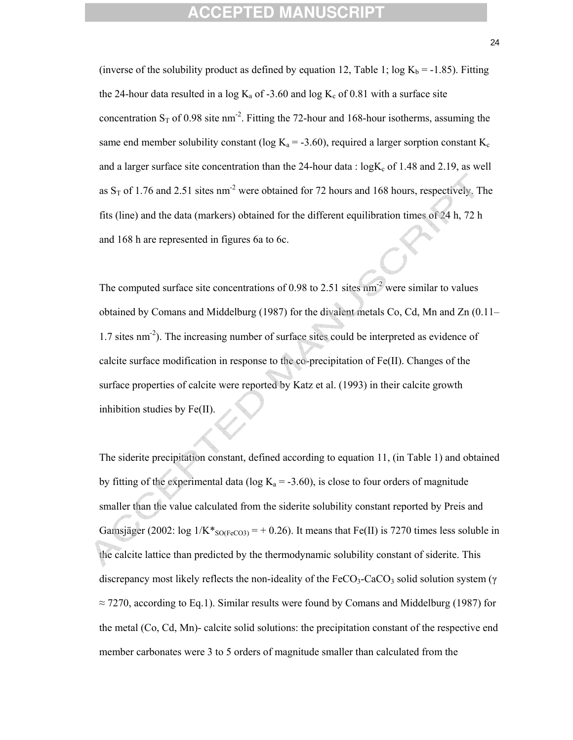(inverse of the solubility product as defined by equation 12, Table 1;  $log K_b = -1.85$ ). Fitting the 24-hour data resulted in a log  $K_a$  of -3.60 and log  $K_c$  of 0.81 with a surface site concentration  $S_T$  of 0.98 site nm<sup>-2</sup>. Fitting the 72-hour and 168-hour isotherms, assuming the same end member solubility constant (log  $K_a = -3.60$ ), required a larger sorption constant  $K_c$ and a larger surface site concentration than the 24-hour data :  $logK_c$  of 1.48 and 2.19, as well as  $S_T$  of 1.76 and 2.51 sites nm<sup>-2</sup> were obtained for 72 hours and 168 hours, respectively. The fits (line) and the data (markers) obtained for the different equilibration times of 24 h, 72 h and 168 h are represented in figures 6a to 6c.

The computed surface site concentrations of 0.98 to 2.51 sites  $nm<sup>2</sup>$  were similar to values obtained by Comans and Middelburg (1987) for the divalent metals Co, Cd, Mn and Zn (0.11– 1.7 sites nm-2). The increasing number of surface sites could be interpreted as evidence of calcite surface modification in response to the co-precipitation of Fe(II). Changes of the surface properties of calcite were reported by Katz et al. (1993) in their calcite growth inhibition studies by Fe(II).

The siderite precipitation constant, defined according to equation 11, (in Table 1) and obtained by fitting of the experimental data (log  $K_a = -3.60$ ), is close to four orders of magnitude smaller than the value calculated from the siderite solubility constant reported by Preis and Gamsjäger (2002:  $\log 1/K^*_{\text{SO(FeCO3)}} = +0.26$ ). It means that Fe(II) is 7270 times less soluble in the calcite lattice than predicted by the thermodynamic solubility constant of siderite. This discrepancy most likely reflects the non-ideality of the FeCO<sub>3</sub>-CaCO<sub>3</sub> solid solution system (γ  $\approx$  7270, according to Eq.1). Similar results were found by Comans and Middelburg (1987) for the metal (Co, Cd, Mn)- calcite solid solutions: the precipitation constant of the respective end member carbonates were 3 to 5 orders of magnitude smaller than calculated from the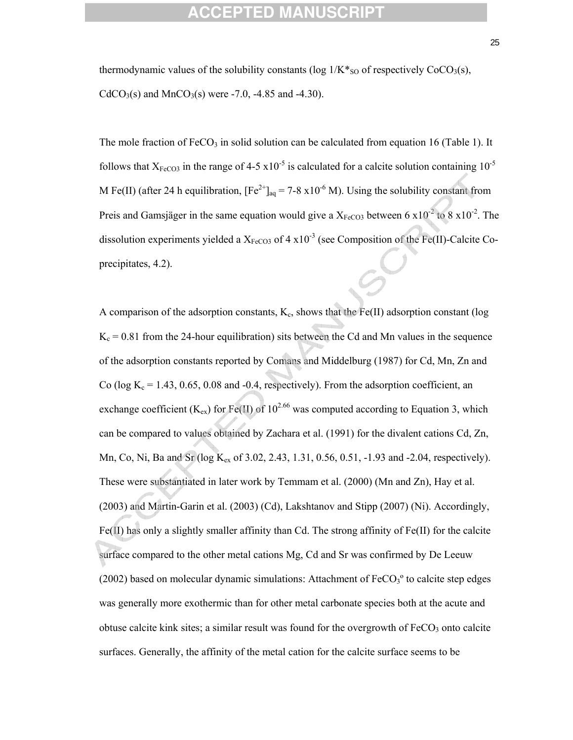thermodynamic values of the solubility constants (log  $1/K*_{\text{SO}}$  of respectively CoCO<sub>3</sub>(s),  $CdCO<sub>3</sub>(s)$  and MnCO<sub>3</sub>(s) were -7.0, -4.85 and -4.30).

The mole fraction of  $FeCO<sub>3</sub>$  in solid solution can be calculated from equation 16 (Table 1). It follows that  $X_{FeCO3}$  in the range of 4-5 x10<sup>-5</sup> is calculated for a calcite solution containing 10<sup>-5</sup> M Fe(II) (after 24 h equilibration,  $[Fe^{2+}]_{aa} = 7-8 \times 10^{-6}$  M). Using the solubility constant from Preis and Gamsjäger in the same equation would give a  $X_{FeCO3}$  between 6 x10<sup>-2</sup> to 8 x10<sup>-2</sup>. The dissolution experiments yielded a  $X_{FeCO3}$  of 4 x10<sup>-3</sup> (see Composition of the Fe(II)-Calcite Coprecipitates, 4.2).

A comparison of the adsorption constants,  $K_c$ , shows that the Fe(II) adsorption constant (log  $K_c = 0.81$  from the 24-hour equilibration) sits between the Cd and Mn values in the sequence of the adsorption constants reported by Comans and Middelburg (1987) for Cd, Mn, Zn and Co (log  $K_c = 1.43, 0.65, 0.08$  and -0.4, respectively). From the adsorption coefficient, an exchange coefficient (K<sub>ex</sub>) for Fe(II) of 10<sup>2.66</sup> was computed according to Equation 3, which can be compared to values obtained by Zachara et al. (1991) for the divalent cations Cd, Zn, Mn, Co, Ni, Ba and Sr (log K<sub>ex</sub> of 3.02, 2.43, 1.31, 0.56, 0.51, -1.93 and -2.04, respectively). These were substantiated in later work by Temmam et al. (2000) (Mn and Zn), Hay et al. (2003) and Martin-Garin et al. (2003) (Cd), Lakshtanov and Stipp (2007) (Ni). Accordingly,  $Fe(II)$  has only a slightly smaller affinity than Cd. The strong affinity of  $Fe(II)$  for the calcite surface compared to the other metal cations Mg, Cd and Sr was confirmed by De Leeuw  $(2002)$  based on molecular dynamic simulations: Attachment of FeCO<sub>3</sub><sup>o</sup> to calcite step edges was generally more exothermic than for other metal carbonate species both at the acute and obtuse calcite kink sites; a similar result was found for the overgrowth of  $FeCO<sub>3</sub>$  onto calcite surfaces. Generally, the affinity of the metal cation for the calcite surface seems to be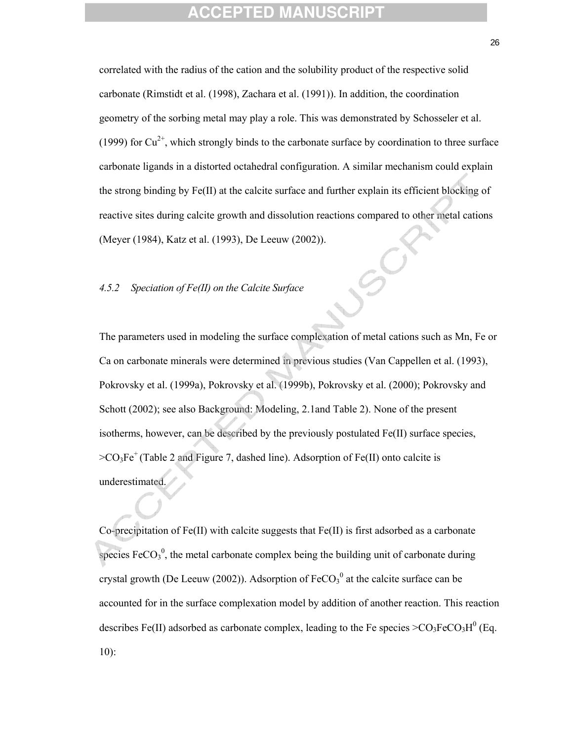correlated with the radius of the cation and the solubility product of the respective solid carbonate (Rimstidt et al. (1998), Zachara et al. (1991)). In addition, the coordination geometry of the sorbing metal may play a role. This was demonstrated by Schosseler et al. (1999) for  $Cu^{2+}$ , which strongly binds to the carbonate surface by coordination to three surface carbonate ligands in a distorted octahedral configuration. A similar mechanism could explain the strong binding by Fe(II) at the calcite surface and further explain its efficient blocking of reactive sites during calcite growth and dissolution reactions compared to other metal cations (Meyer (1984), Katz et al. (1993), De Leeuw (2002)).

### *4.5.2 Speciation of Fe(II) on the Calcite Surface*

The parameters used in modeling the surface complexation of metal cations such as Mn, Fe or Ca on carbonate minerals were determined in previous studies (Van Cappellen et al. (1993), Pokrovsky et al. (1999a), Pokrovsky et al. (1999b), Pokrovsky et al. (2000); Pokrovsky and Schott (2002); see also Background: Modeling, 2.1and Table 2). None of the present isotherms, however, can be described by the previously postulated Fe(II) surface species,  $>CO_3Fe^+$  (Table 2 and Figure 7, dashed line). Adsorption of Fe(II) onto calcite is underestimated.

Co-precipitation of Fe(II) with calcite suggests that Fe(II) is first adsorbed as a carbonate species  $\text{FeCO}_3^0$ , the metal carbonate complex being the building unit of carbonate during crystal growth (De Leeuw (2002)). Adsorption of  $FeCO<sub>3</sub><sup>0</sup>$  at the calcite surface can be accounted for in the surface complexation model by addition of another reaction. This reaction describes Fe(II) adsorbed as carbonate complex, leading to the Fe species  $>CO_3FeCO_3H^0$  (Eq. 10):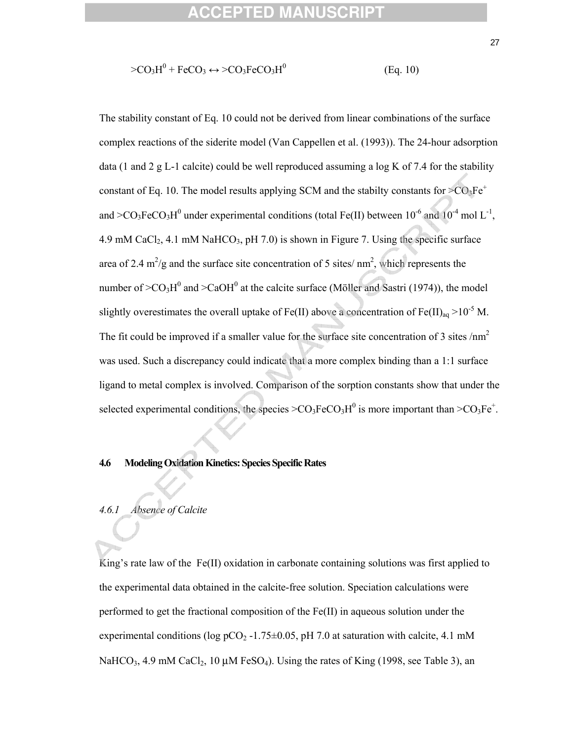### **CCEPTED MAN**

$$
\geq CO_3H^0 + FeCO_3 \leftrightarrow \geq CO_3FeCO_3H^0
$$
 (Eq. 10)

The stability constant of Eq. 10 could not be derived from linear combinations of the surface complex reactions of the siderite model (Van Cappellen et al. (1993)). The 24-hour adsorption data (1 and 2 g L-1 calcite) could be well reproduced assuming a log K of 7.4 for the stability constant of Eq. 10. The model results applying SCM and the stabilty constants for  $>CO_3Fe^+$ and >CO<sub>3</sub>FeCO<sub>3</sub>H<sup>0</sup> under experimental conditions (total Fe(II) between  $10^{-6}$  and  $10^{-4}$  mol L<sup>-1</sup>, 4.9 mM CaCl<sub>2</sub>, 4.1 mM NaHCO<sub>3</sub>, pH 7.0) is shown in Figure 7. Using the specific surface area of 2.4  $\text{m}^2/\text{g}$  and the surface site concentration of 5 sites/ $\text{nm}^2$ , which represents the number of  $>CO<sub>3</sub>H<sup>0</sup>$  and  $>CaOH<sup>0</sup>$  at the calcite surface (Möller and Sastri (1974)), the model slightly overestimates the overall uptake of Fe(II) above a concentration of Fe(II)<sub>aq</sub> >10<sup>-5</sup> M. The fit could be improved if a smaller value for the surface site concentration of 3 sites  $/nm<sup>2</sup>$ was used. Such a discrepancy could indicate that a more complex binding than a 1:1 surface ligand to metal complex is involved. Comparison of the sorption constants show that under the selected experimental conditions, the species  $>CO_3FeCO_3H^0$  is more important than  $>CO_3Fe^+$ .

### **4.6 Modeling Oxidation Kinetics: Species Specific Rates**

### *4.6.1 Absence of Calcite*

King's rate law of the Fe(II) oxidation in carbonate containing solutions was first applied to the experimental data obtained in the calcite-free solution. Speciation calculations were performed to get the fractional composition of the  $Fe(II)$  in aqueous solution under the experimental conditions (log pCO<sub>2</sub> -1.75 $\pm$ 0.05, pH 7.0 at saturation with calcite, 4.1 mM NaHCO<sub>3</sub>, 4.9 mM CaCl<sub>2</sub>, 10  $\mu$ M FeSO<sub>4</sub>). Using the rates of King (1998, see Table 3), an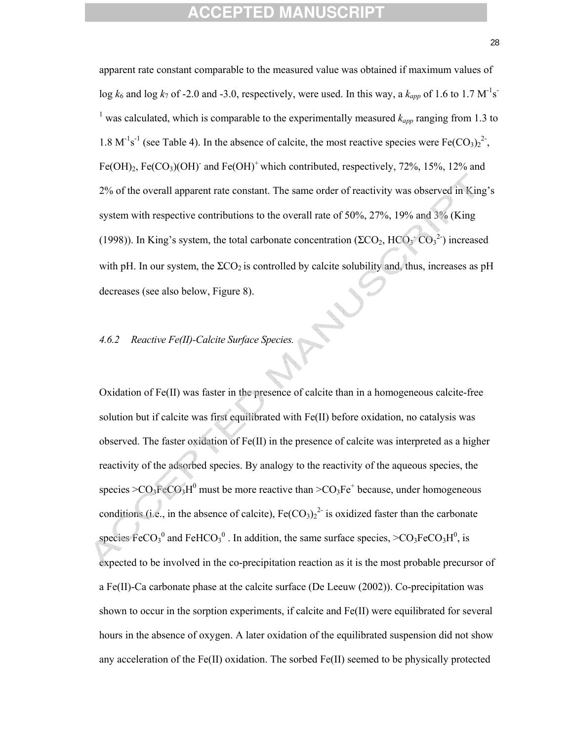apparent rate constant comparable to the measured value was obtained if maximum values of log  $k_6$  and log  $k_7$  of -2.0 and -3.0, respectively, were used. In this way, a  $k_{app}$  of 1.6 to 1.7 M<sup>-1</sup>s<sup>-</sup> <sup>1</sup> was calculated, which is comparable to the experimentally measured  $k_{app}$  ranging from 1.3 to 1.8 M<sup>-1</sup>s<sup>-1</sup> (see Table 4). In the absence of calcite, the most reactive species were Fe(CO<sub>3</sub>)<sub>2</sub><sup>2</sup>, Fe(OH)<sub>2</sub>, Fe(CO<sub>3</sub>)(OH)<sup>-</sup> and Fe(OH)<sup>+</sup> which contributed, respectively, 72%, 15%, 12% and 2% of the overall apparent rate constant. The same order of reactivity was observed in King's system with respective contributions to the overall rate of 50%, 27%, 19% and 3% (King (1998)). In King's system, the total carbonate concentration ( $\Sigma CO_2$ ,  $\overline{CO_3}^2$ ) increased with pH. In our system, the  $\Sigma$ CO<sub>2</sub> is controlled by calcite solubility and, thus, increases as pH decreases (see also below, Figure 8).

## *4.6.2 Reactive Fe(II)-Calcite Surface Species.*

Oxidation of Fe(II) was faster in the presence of calcite than in a homogeneous calcite-free solution but if calcite was first equilibrated with Fe(II) before oxidation, no catalysis was observed. The faster oxidation of Fe(II) in the presence of calcite was interpreted as a higher reactivity of the adsorbed species. By analogy to the reactivity of the aqueous species, the species  $>CO_3FeCO_3H^0$  must be more reactive than  $>CO_3Fe^+$  because, under homogeneous conditions (i.e., in the absence of calcite),  $Fe(CO<sub>3</sub>)<sub>2</sub><sup>2</sup>$  is oxidized faster than the carbonate species  $\text{FeCO}_3^0$  and  $\text{FeHCO}_3^0$ . In addition, the same surface species,  $\text{>CO}_3\text{FeCO}_3\text{H}^0$ , is expected to be involved in the co-precipitation reaction as it is the most probable precursor of a Fe(II)-Ca carbonate phase at the calcite surface (De Leeuw (2002)). Co-precipitation was shown to occur in the sorption experiments, if calcite and Fe(II) were equilibrated for several hours in the absence of oxygen. A later oxidation of the equilibrated suspension did not show any acceleration of the Fe(II) oxidation. The sorbed Fe(II) seemed to be physically protected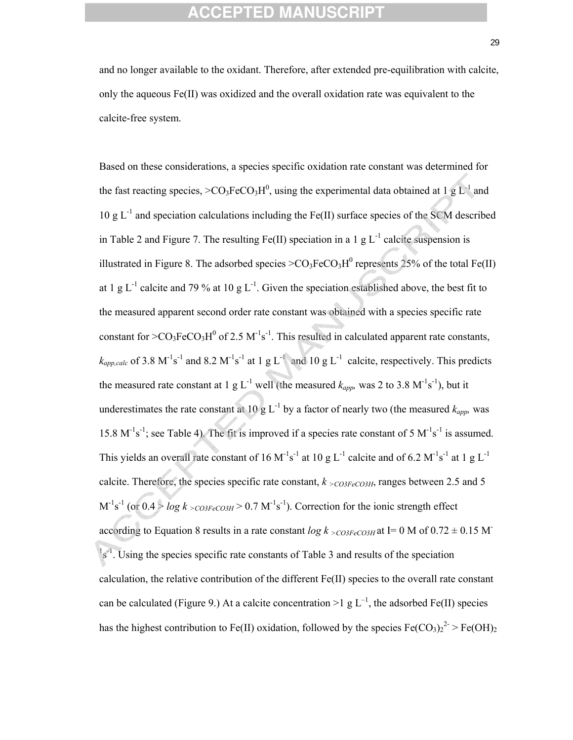and no longer available to the oxidant. Therefore, after extended pre-equilibration with calcite, only the aqueous  $Fe(II)$  was oxidized and the overall oxidation rate was equivalent to the calcite-free system.

Based on these considerations, a species specific oxidation rate constant was determined for the fast reacting species,  $>CO_3FeCO_3H^0$ , using the experimental data obtained at 1 g L<sup>-1</sup> and 10 g  $L^{-1}$  and speciation calculations including the Fe(II) surface species of the SCM described in Table 2 and Figure 7. The resulting Fe(II) speciation in a 1 g  $L^{-1}$  calcite suspension is illustrated in Figure 8. The adsorbed species  $>CO_3FeCO_3H^0$  represents 25% of the total Fe(II) at 1 g  $L^{-1}$  calcite and 79 % at 10 g  $L^{-1}$ . Given the speciation established above, the best fit to the measured apparent second order rate constant was obtained with a species specific rate constant for  $>CO_3FeCO_3H^0$  of 2.5 M<sup>-1</sup>s<sup>-1</sup>. This resulted in calculated apparent rate constants,  $k_{app,calc}$  of 3.8 M<sup>-1</sup>s<sup>-1</sup> and 8.2 M<sup>-1</sup>s<sup>-1</sup> at 1 g L<sup>-1</sup> and 10 g L<sup>-1</sup> calcite, respectively. This predicts the measured rate constant at 1 g L<sup>-1</sup> well (the measured  $k_{app}$ , was 2 to 3.8 M<sup>-1</sup>s<sup>-1</sup>), but it underestimates the rate constant at 10 g  $L^{-1}$  by a factor of nearly two (the measured  $k_{app}$ , was 15.8  $M^{-1}s^{-1}$ ; see Table 4). The fit is improved if a species rate constant of 5  $M^{-1}s^{-1}$  is assumed. This yields an overall rate constant of 16 M<sup>-1</sup>s<sup>-1</sup> at 10 g L<sup>-1</sup> calcite and of 6.2 M<sup>-1</sup>s<sup>-1</sup> at 1 g L<sup>-1</sup> calcite. Therefore, the species specific rate constant,  $k_{\text{ }>CO3FeCO3H}$ , ranges between 2.5 and 5  $M^{-1}s^{-1}$  (or  $0.4 > log k >_{CO3FeCO3H} > 0.7 M^{-1}s^{-1}$ ). Correction for the ionic strength effect according to Equation 8 results in a rate constant  $log k >_{CO3FeCO3H}$  at I= 0 M of 0.72  $\pm$  0.15 M<sup>-</sup>  $\frac{1}{5}$ <sup>1</sup>. Using the species specific rate constants of Table 3 and results of the speciation calculation, the relative contribution of the different Fe(II) species to the overall rate constant can be calculated (Figure 9.) At a calcite concentration  $>1 \text{ g L}^{-1}$ , the adsorbed Fe(II) species has the highest contribution to Fe(II) oxidation, followed by the species  $Fe({\rm CO}_3)_2^2 > Fe({\rm OH})_2$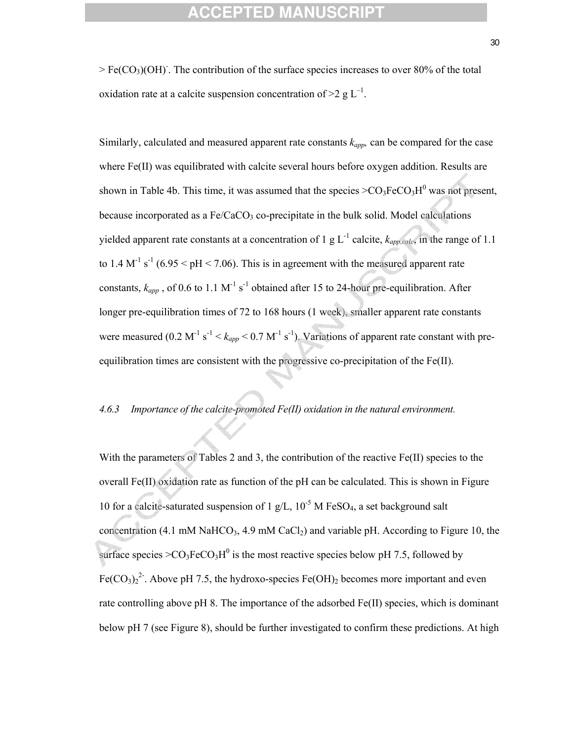$>$  Fe(CO<sub>3</sub>)(OH)<sup>-</sup>. The contribution of the surface species increases to over 80% of the total oxidation rate at a calcite suspension concentration of  $>2$  g L<sup>-1</sup>.

Similarly, calculated and measured apparent rate constants  $k_{app}$ , can be compared for the case where Fe(II) was equilibrated with calcite several hours before oxygen addition. Results are shown in Table 4b. This time, it was assumed that the species  $>CO_3FeCO_3H^0$  was not present, because incorporated as a  $Fe/CaCO<sub>3</sub>$  co-precipitate in the bulk solid. Model calculations yielded apparent rate constants at a concentration of 1 g  $L^{-1}$  calcite,  $k_{amp,calc}$ , in the range of 1.1 to 1.4  $M^{-1}$  s<sup>-1</sup> (6.95 < pH < 7.06). This is in agreement with the measured apparent rate constants,  $k_{app}$ , of 0.6 to 1.1 M<sup>-1</sup> s<sup>-1</sup> obtained after 15 to 24-hour pre-equilibration. After longer pre-equilibration times of 72 to 168 hours (1 week), smaller apparent rate constants were measured (0.2 M<sup>-1</sup> s<sup>-1</sup> <  $k_{app}$  < 0.7 M<sup>-1</sup> s<sup>-1</sup>). Variations of apparent rate constant with preequilibration times are consistent with the progressive co-precipitation of the Fe(II).

#### *4.6.3 Importance of the calcite-promoted Fe(II) oxidation in the natural environment.*

With the parameters of Tables 2 and 3, the contribution of the reactive Fe(II) species to the overall Fe(II) oxidation rate as function of the pH can be calculated. This is shown in Figure 10 for a calcite-saturated suspension of 1 g/L,  $10^{-5}$  M FeSO<sub>4</sub>, a set background salt concentration (4.1 mM NaHCO<sub>3</sub>, 4.9 mM CaCl<sub>2</sub>) and variable pH. According to Figure 10, the surface species  $>CO_3FeCO_3H^0$  is the most reactive species below pH 7.5, followed by Fe(CO<sub>3</sub>)<sub>2</sub><sup>2</sup>. Above pH 7.5, the hydroxo-species Fe(OH)<sub>2</sub> becomes more important and even rate controlling above pH 8. The importance of the adsorbed Fe(II) species, which is dominant below pH 7 (see Figure 8), should be further investigated to confirm these predictions. At high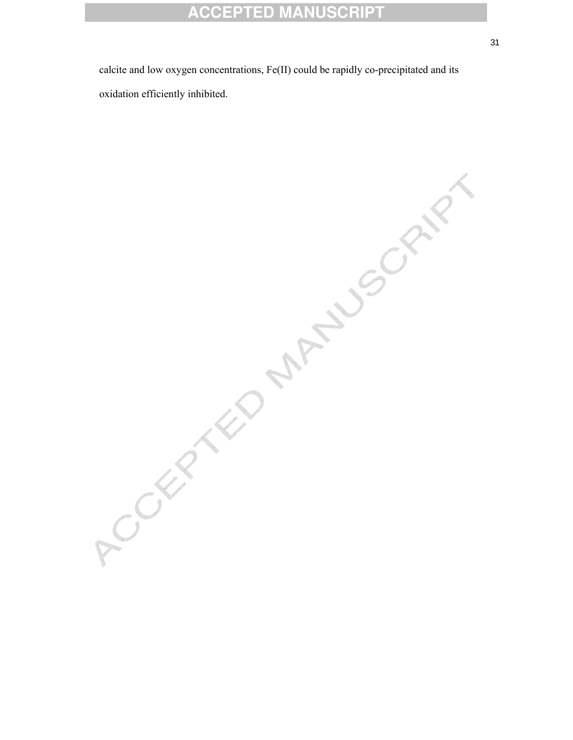calcite and low oxygen concentrations, Fe(II) could be rapidly co-precipitated and its

oxidation efficiently inhibited.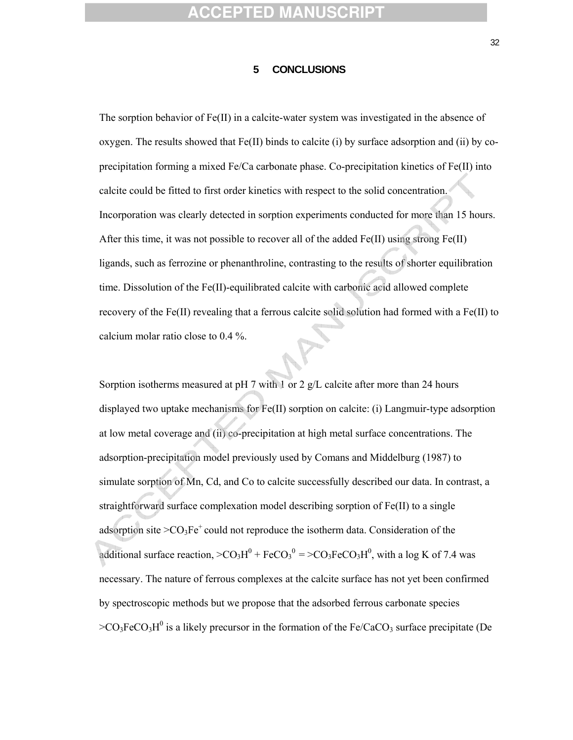#### **5 CONCLUSIONS**

The sorption behavior of Fe(II) in a calcite-water system was investigated in the absence of oxygen. The results showed that  $Fe(II)$  binds to calcite (i) by surface adsorption and (ii) by coprecipitation forming a mixed Fe/Ca carbonate phase. Co-precipitation kinetics of Fe(II) into calcite could be fitted to first order kinetics with respect to the solid concentration. Incorporation was clearly detected in sorption experiments conducted for more than 15 hours. After this time, it was not possible to recover all of the added  $Fe(II)$  using strong  $Fe(II)$ ligands, such as ferrozine or phenanthroline, contrasting to the results of shorter equilibration time. Dissolution of the Fe(II)-equilibrated calcite with carbonic acid allowed complete recovery of the Fe(II) revealing that a ferrous calcite solid solution had formed with a Fe(II) to calcium molar ratio close to 0.4 %.

Sorption isotherms measured at pH 7 with 1 or 2 g/L calcite after more than 24 hours displayed two uptake mechanisms for Fe(II) sorption on calcite: (i) Langmuir-type adsorption at low metal coverage and (ii) co-precipitation at high metal surface concentrations. The adsorption-precipitation model previously used by Comans and Middelburg (1987) to simulate sorption of Mn, Cd, and Co to calcite successfully described our data. In contrast, a straightforward surface complexation model describing sorption of Fe(II) to a single adsorption site  $>CO<sub>3</sub>Fe<sup>+</sup>$  could not reproduce the isotherm data. Consideration of the additional surface reaction,  $>CO_3H^0 + FeCO_3^0 = >CO_3FeCO_3H^0$ , with a log K of 7.4 was necessary. The nature of ferrous complexes at the calcite surface has not yet been confirmed by spectroscopic methods but we propose that the adsorbed ferrous carbonate species  $>CO_3FeCO_3H^0$  is a likely precursor in the formation of the Fe/CaCO<sub>3</sub> surface precipitate (De

32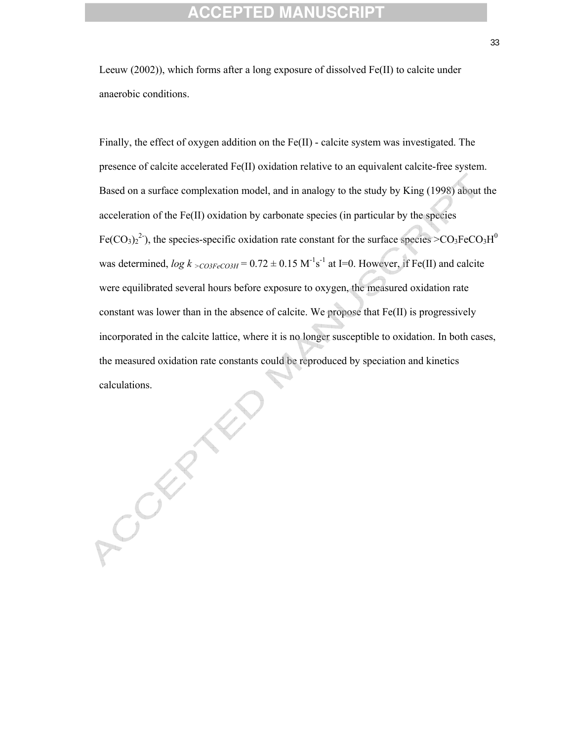Leeuw (2002)), which forms after a long exposure of dissolved Fe(II) to calcite under anaerobic conditions.

Finally, the effect of oxygen addition on the Fe(II) - calcite system was investigated. The presence of calcite accelerated Fe(II) oxidation relative to an equivalent calcite-free system. Based on a surface complexation model, and in analogy to the study by King (1998) about the acceleration of the Fe(II) oxidation by carbonate species (in particular by the species Fe(CO<sub>3</sub>)<sub>2</sub><sup>2</sup>), the species-specific oxidation rate constant for the surface species  $>$ CO<sub>3</sub>FeCO<sub>3</sub>H<sup>0</sup> was determined,  $log k >_{CO3FeCO3H} = 0.72 \pm 0.15 \text{ M}^{-1}\text{s}^{-1}$  at I=0. However, if Fe(II) and calcite were equilibrated several hours before exposure to oxygen, the measured oxidation rate constant was lower than in the absence of calcite. We propose that Fe(II) is progressively incorporated in the calcite lattice, where it is no longer susceptible to oxidation. In both cases, the measured oxidation rate constants could be reproduced by speciation and kinetics calculations.

COLLE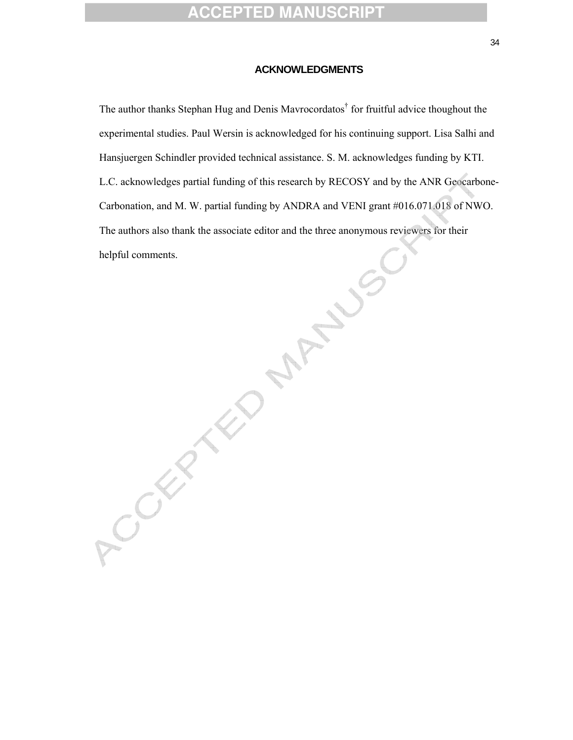#### **ACKNOWLEDGMENTS**

The author thanks Stephan Hug and Denis Mavrocordatos<sup>†</sup> for fruitful advice thoughout the experimental studies. Paul Wersin is acknowledged for his continuing support. Lisa Salhi and Hansjuergen Schindler provided technical assistance. S. M. acknowledges funding by KTI. L.C. acknowledges partial funding of this research by RECOSY and by the ANR Geocarbone-Carbonation, and M. W. partial funding by ANDRA and VENI grant #016.071.018 of NWO. The authors also thank the associate editor and the three anonymous reviewers for their helpful comments. Jumply .

Accidental Manuscre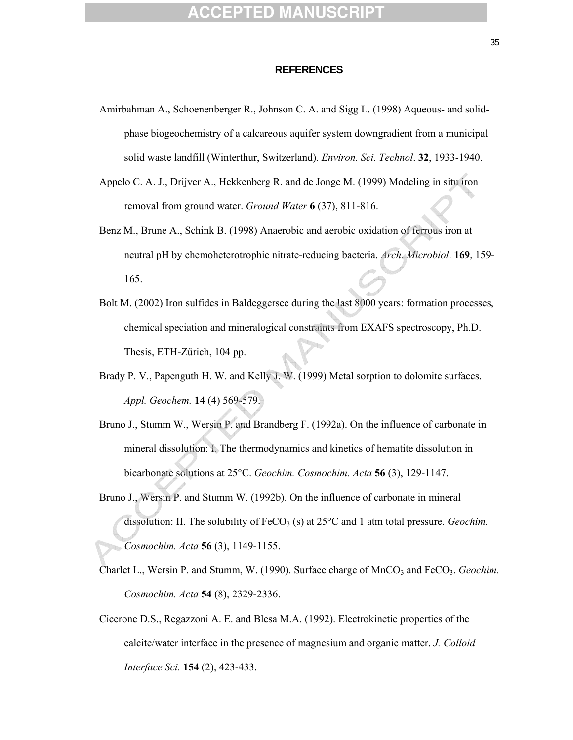#### **REFERENCES**

- Amirbahman A., Schoenenberger R., Johnson C. A. and Sigg L. (1998) Aqueous- and solidphase biogeochemistry of a calcareous aquifer system downgradient from a municipal solid waste landfill (Winterthur, Switzerland). *Environ. Sci. Technol*. **32**, 1933-1940.
- Appelo C. A. J., Drijver A., Hekkenberg R. and de Jonge M. (1999) Modeling in situ iron removal from ground water. *Ground Water* **6** (37), 811-816.
- Benz M., Brune A., Schink B. (1998) Anaerobic and aerobic oxidation of ferrous iron at neutral pH by chemoheterotrophic nitrate-reducing bacteria. *Arch. Microbiol*. **169**, 159- 165.
- Bolt M. (2002) Iron sulfides in Baldeggersee during the last 8000 years: formation processes, chemical speciation and mineralogical constraints from EXAFS spectroscopy, Ph.D. Thesis, ETH-Zürich, 104 pp.
- Brady P. V., Papenguth H. W. and Kelly J. W. (1999) Metal sorption to dolomite surfaces. *Appl. Geochem.* **14** (4) 569-579.
- Bruno J., Stumm W., Wersin P. and Brandberg F. (1992a). On the influence of carbonate in mineral dissolution: I. The thermodynamics and kinetics of hematite dissolution in bicarbonate solutions at 25°C. *Geochim. Cosmochim. Acta* **56** (3), 129-1147.
- Bruno J., Wersin P. and Stumm W. (1992b). On the influence of carbonate in mineral dissolution: II. The solubility of FeCO<sub>3</sub> (s) at 25<sup>o</sup>C and 1 atm total pressure. *Geochim. Cosmochim. Acta* **56** (3), 1149-1155.
- Charlet L., Wersin P. and Stumm, W. (1990). Surface charge of MnCO<sub>3</sub> and FeCO<sub>3</sub>. *Geochim*. *Cosmochim. Acta* **54** (8), 2329-2336.
- Cicerone D.S., Regazzoni A. E. and Blesa M.A. (1992). Electrokinetic properties of the calcite/water interface in the presence of magnesium and organic matter. *J. Colloid Interface Sci.* **154** (2), 423-433.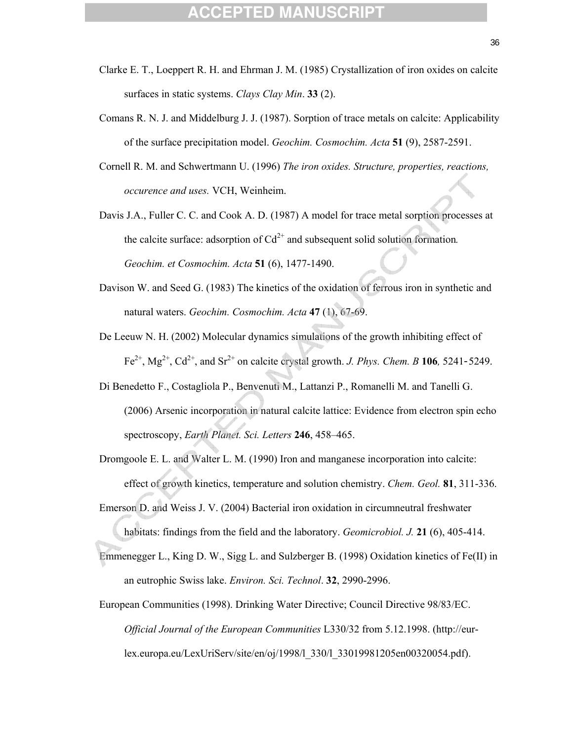- Clarke E. T., Loeppert R. H. and Ehrman J. M. (1985) Crystallization of iron oxides on calcite surfaces in static systems. *Clays Clay Min*. **33** (2).
- Comans R. N. J. and Middelburg J. J. (1987). Sorption of trace metals on calcite: Applicability of the surface precipitation model. *Geochim. Cosmochim. Acta* **51** (9), 2587-2591.
- Cornell R. M. and Schwertmann U. (1996) *The iron oxides. Structure, properties, reactions, occurence and uses.* VCH, Weinheim.
- Davis J.A., Fuller C. C. and Cook A. D. (1987) A model for trace metal sorption processes at the calcite surface: adsorption of  $Cd^{2+}$  and subsequent solid solution formation. *Geochim. et Cosmochim. Acta* **51** (6), 1477-1490.
- Davison W. and Seed G. (1983) The kinetics of the oxidation of ferrous iron in synthetic and natural waters. *Geochim. Cosmochim. Acta* **47** (1), 67-69.
- De Leeuw N. H. (2002) Molecular dynamics simulations of the growth inhibiting effect of  $Fe^{2+}$ ,  $Mg^{2+}$ ,  $Cd^{2+}$ , and  $Sr^{2+}$  on calcite crystal growth. *J. Phys. Chem. B* 106*,* 5241-5249.
- Di Benedetto F., Costagliola P., Benvenuti M., Lattanzi P., Romanelli M. and Tanelli G. (2006) Arsenic incorporation in natural calcite lattice: Evidence from electron spin echo spectroscopy, *Earth Planet. Sci. Letters* **246**, 458–465.
- Dromgoole E. L. and Walter L. M. (1990) Iron and manganese incorporation into calcite: effect of growth kinetics, temperature and solution chemistry. *Chem. Geol.* **81**, 311-336.
- Emerson D. and Weiss J. V. (2004) Bacterial iron oxidation in circumneutral freshwater habitats: findings from the field and the laboratory. *Geomicrobiol. J.* **21** (6), 405-414.
- Emmenegger L., King D. W., Sigg L. and Sulzberger B. (1998) Oxidation kinetics of Fe(II) in an eutrophic Swiss lake. *Environ. Sci. Technol*. **32**, 2990-2996.
- European Communities (1998). Drinking Water Directive; Council Directive 98/83/EC. *Official Journal of the European Communities* L330/32 from 5.12.1998. (http://eurlex.europa.eu/LexUriServ/site/en/oj/1998/l\_330/l\_33019981205en00320054.pdf).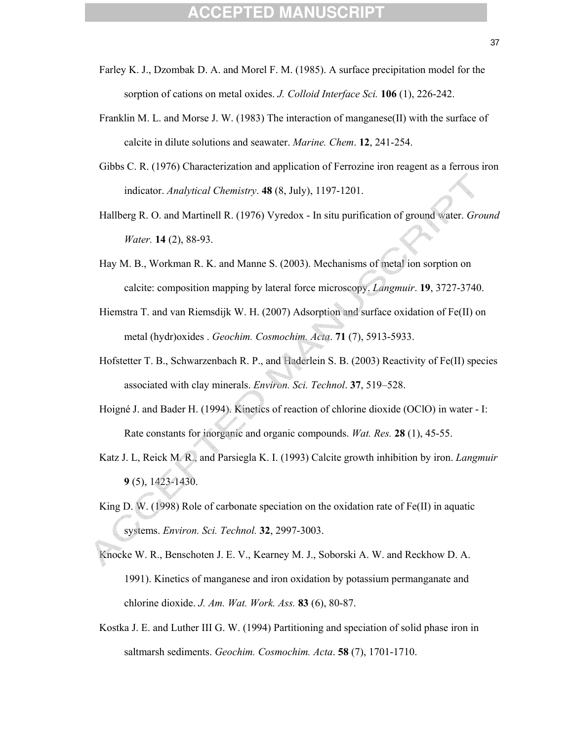- Farley K. J., Dzombak D. A. and Morel F. M. (1985). A surface precipitation model for the sorption of cations on metal oxides. *J. Colloid Interface Sci.* **106** (1), 226-242.
- Franklin M. L. and Morse J. W. (1983) The interaction of manganese(II) with the surface of calcite in dilute solutions and seawater. *Marine. Chem*. **12**, 241-254.
- Gibbs C. R. (1976) Characterization and application of Ferrozine iron reagent as a ferrous iron indicator. *Analytical Chemistry*. **48** (8, July), 1197-1201.
- Hallberg R. O. and Martinell R. (1976) Vyredox In situ purification of ground water. *Ground Water.* **14** (2), 88-93.
- Hay M. B., Workman R. K. and Manne S. (2003). Mechanisms of metal ion sorption on calcite: composition mapping by lateral force microscopy. *Langmuir*. **19**, 3727-3740.
- Hiemstra T. and van Riemsdijk W. H. (2007) Adsorption and surface oxidation of Fe(II) on metal (hydr)oxides . *Geochim. Cosmochim. Acta*. **71** (7), 5913-5933.
- Hofstetter T. B., Schwarzenbach R. P., and Haderlein S. B. (2003) Reactivity of Fe(II) species associated with clay minerals. *Environ. Sci. Technol*. **37**, 519–528.
- Hoigné J. and Bader H. (1994). Kinetics of reaction of chlorine dioxide (OClO) in water I: Rate constants for inorganic and organic compounds. *Wat. Res.* **28** (1), 45-55.
- Katz J. L, Reick M. R., and Parsiegla K. I. (1993) Calcite growth inhibition by iron. *Langmuir* **9** (5), 1423-1430.
- King D. W. (1998) Role of carbonate speciation on the oxidation rate of  $Fe(II)$  in aquatic systems. *Environ. Sci. Technol.* **32**, 2997-3003.
- Knocke W. R., Benschoten J. E. V., Kearney M. J., Soborski A. W. and Reckhow D. A. 1991). Kinetics of manganese and iron oxidation by potassium permanganate and chlorine dioxide. *J. Am. Wat. Work. Ass.* **83** (6), 80-87.
- Kostka J. E. and Luther III G. W. (1994) Partitioning and speciation of solid phase iron in saltmarsh sediments. *Geochim. Cosmochim. Acta*. **58** (7), 1701-1710.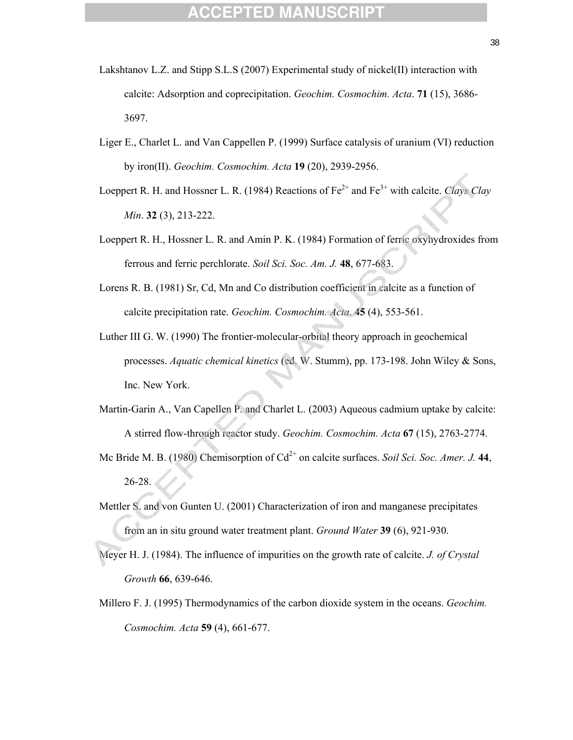- Lakshtanov L.Z. and Stipp S.L.S (2007) Experimental study of nickel(II) interaction with calcite: Adsorption and coprecipitation. *Geochim. Cosmochim. Acta*. **71** (15), 3686- 3697.
- Liger E., Charlet L. and Van Cappellen P. (1999) Surface catalysis of uranium (VI) reduction by iron(II). *Geochim. Cosmochim. Acta* **19** (20), 2939-2956.
- Loeppert R. H. and Hossner L. R. (1984) Reactions of  $Fe^{2+}$  and  $Fe^{3+}$  with calcite. *Clays Clay Min*. **32** (3), 213-222.
- Loeppert R. H., Hossner L. R. and Amin P. K. (1984) Formation of ferric oxyhydroxides from ferrous and ferric perchlorate. *Soil Sci. Soc. Am. J.* **48**, 677-683.
- Lorens R. B. (1981) Sr, Cd, Mn and Co distribution coefficient in calcite as a function of calcite precipitation rate. *Geochim. Cosmochim. Acta*. **45** (4), 553-561.
- Luther III G. W. (1990) The frontier-molecular-orbital theory approach in geochemical processes. *Aquatic chemical kinetics* (ed. W. Stumm), pp. 173-198. John Wiley & Sons, Inc. New York.
- Martin-Garin A., Van Capellen P. and Charlet L. (2003) Aqueous cadmium uptake by calcite: A stirred flow-through reactor study. *Geochim. Cosmochim. Acta* **67** (15), 2763-2774.
- Mc Bride M. B. (1980) Chemisorption of Cd<sup>2+</sup> on calcite surfaces. *Soil Sci. Soc. Amer. J.* 44, 26-28.
- Mettler S. and von Gunten U. (2001) Characterization of iron and manganese precipitates from an in situ ground water treatment plant. *Ground Water* **39** (6), 921-930.
- Meyer H. J. (1984). The influence of impurities on the growth rate of calcite. *J. of Crystal Growth* **66**, 639-646.
- Millero F. J. (1995) Thermodynamics of the carbon dioxide system in the oceans. *Geochim. Cosmochim. Acta* **59** (4), 661-677.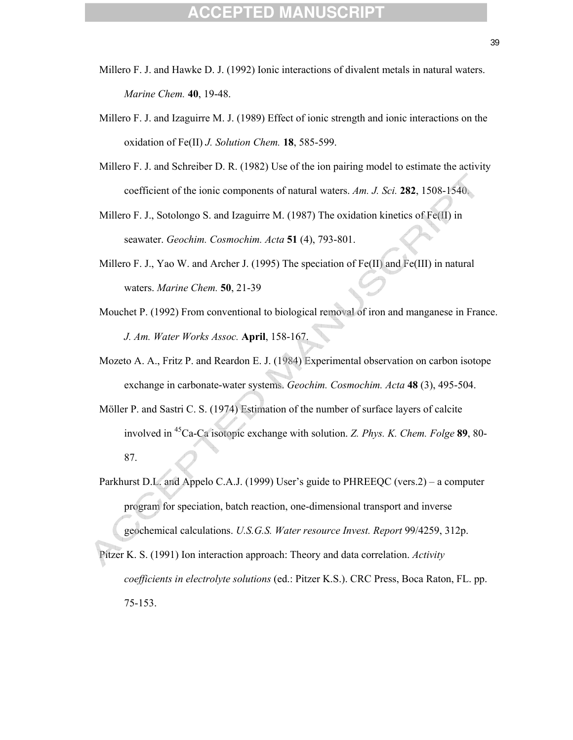- Millero F. J. and Hawke D. J. (1992) Ionic interactions of divalent metals in natural waters. *Marine Chem.* **40**, 19-48.
- Millero F. J. and Izaguirre M. J. (1989) Effect of ionic strength and ionic interactions on the oxidation of Fe(II) *J. Solution Chem.* **18**, 585-599.
- Millero F. J. and Schreiber D. R. (1982) Use of the ion pairing model to estimate the activity coefficient of the ionic components of natural waters. *Am. J. Sci.* **282**, 1508-1540.
- Millero F. J., Sotolongo S. and Izaguirre M. (1987) The oxidation kinetics of Fe(II) in seawater. *Geochim. Cosmochim. Acta* **51** (4), 793-801.
- Millero F. J., Yao W. and Archer J. (1995) The speciation of  $Fe(II)$  and  $Fe(III)$  in natural waters. *Marine Chem.* **50**, 21-39
- Mouchet P. (1992) From conventional to biological removal of iron and manganese in France. *J. Am. Water Works Assoc.* **April**, 158-167.
- Mozeto A. A., Fritz P. and Reardon E. J. (1984) Experimental observation on carbon isotope exchange in carbonate-water systems. *Geochim. Cosmochim. Acta* **48** (3), 495-504.
- Möller P. and Sastri C. S. (1974) Estimation of the number of surface layers of calcite involved in 45Ca-Ca isotopic exchange with solution. *Z. Phys. K. Chem. Folge* **89**, 80- 87.
- Parkhurst D.L. and Appelo C.A.J. (1999) User's guide to PHREEQC (vers.2) a computer program for speciation, batch reaction, one-dimensional transport and inverse geochemical calculations. *U.S.G.S. Water resource Invest. Report* 99/4259, 312p.
- Pitzer K. S. (1991) Ion interaction approach: Theory and data correlation. *Activity coefficients in electrolyte solutions* (ed.: Pitzer K.S.). CRC Press, Boca Raton, FL. pp. 75-153.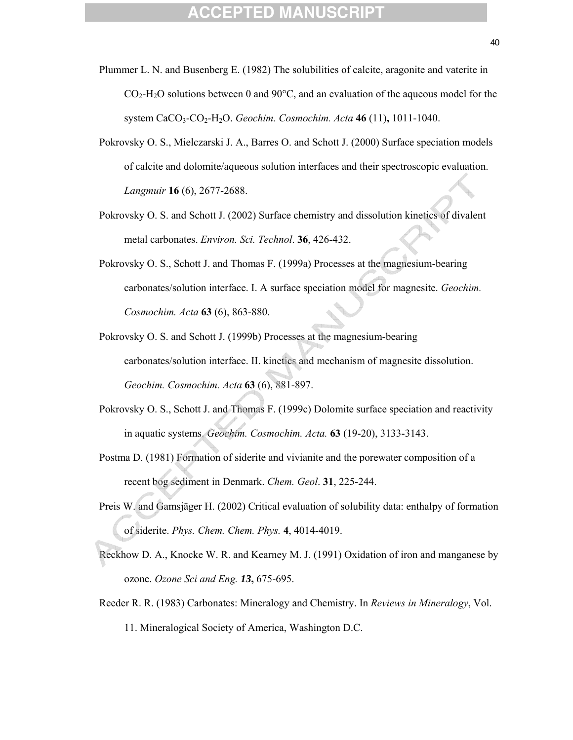- Plummer L. N. and Busenberg E. (1982) The solubilities of calcite, aragonite and vaterite in  $CO<sub>2</sub>-H<sub>2</sub>O$  solutions between 0 and 90 $^{\circ}$ C, and an evaluation of the aqueous model for the system CaCO3-CO2-H2O. *Geochim. Cosmochim. Acta* **46** (11)**,** 1011-1040.
- Pokrovsky O. S., Mielczarski J. A., Barres O. and Schott J. (2000) Surface speciation models of calcite and dolomite/aqueous solution interfaces and their spectroscopic evaluation. *Langmuir* **16** (6), 2677-2688.
- Pokrovsky O. S. and Schott J. (2002) Surface chemistry and dissolution kinetics of divalent metal carbonates. *Environ. Sci. Technol*. **36**, 426-432.
- Pokrovsky O. S., Schott J. and Thomas F. (1999a) Processes at the magnesium-bearing carbonates/solution interface. I. A surface speciation model for magnesite. *Geochim. Cosmochim. Acta* **63** (6), 863-880.
- Pokrovsky O. S. and Schott J. (1999b) Processes at the magnesium-bearing carbonates/solution interface. II. kinetics and mechanism of magnesite dissolution. *Geochim. Cosmochim. Acta* **63** (6), 881-897.
- Pokrovsky O. S., Schott J. and Thomas F. (1999c) Dolomite surface speciation and reactivity in aquatic systems. *Geochim. Cosmochim. Acta.* **63** (19-20), 3133-3143.
- Postma D. (1981) Formation of siderite and vivianite and the porewater composition of a recent bog sediment in Denmark. *Chem. Geol*. **31**, 225-244.
- Preis W. and Gamsjäger H. (2002) Critical evaluation of solubility data: enthalpy of formation of siderite. *Phys. Chem. Chem. Phys.* **4**, 4014-4019.
- Reckhow D. A., Knocke W. R. and Kearney M. J. (1991) Oxidation of iron and manganese by ozone. *Ozone Sci and Eng. 13***,** 675-695.
- Reeder R. R. (1983) Carbonates: Mineralogy and Chemistry. In *Reviews in Mineralogy*, Vol. 11. Mineralogical Society of America, Washington D.C.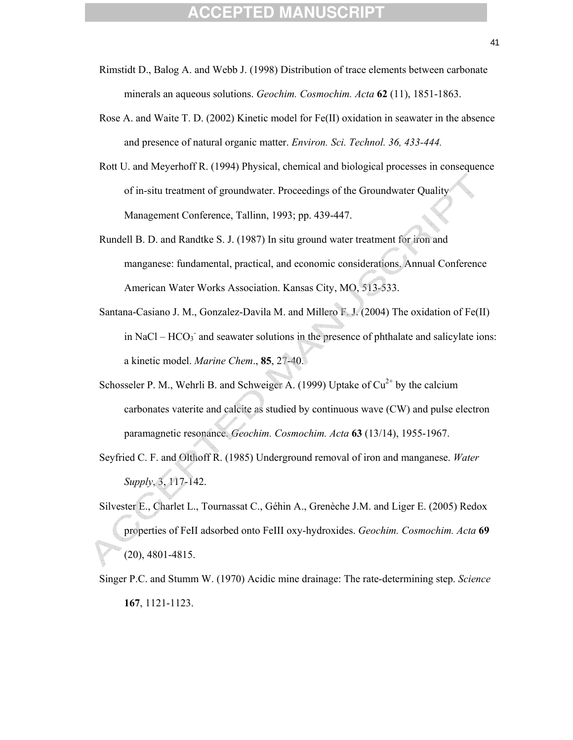- Rimstidt D., Balog A. and Webb J. (1998) Distribution of trace elements between carbonate minerals an aqueous solutions. *Geochim. Cosmochim. Acta* **62** (11), 1851-1863.
- Rose A. and Waite T. D. (2002) Kinetic model for Fe(II) oxidation in seawater in the absence and presence of natural organic matter. *Environ. Sci. Technol. 36, 433-444.*
- Rott U. and Meyerhoff R. (1994) Physical, chemical and biological processes in consequence of in-situ treatment of groundwater. Proceedings of the Groundwater Quality Management Conference, Tallinn, 1993; pp. 439-447.
- Rundell B. D. and Randtke S. J. (1987) In situ ground water treatment for iron and manganese: fundamental, practical, and economic considerations. Annual Conference American Water Works Association. Kansas City, MO, 513-533.
- Santana-Casiano J. M., Gonzalez-Davila M. and Millero F. J. (2004) The oxidation of Fe(II) in NaCl –  $HCO_3$ <sup>-</sup> and seawater solutions in the presence of phthalate and salicylate ions: a kinetic model. *Marine Chem*., **85**, 27-40.
- Schosseler P. M., Wehrli B. and Schweiger A. (1999) Uptake of  $Cu^{2+}$  by the calcium carbonates vaterite and calcite as studied by continuous wave (CW) and pulse electron paramagnetic resonance. *Geochim. Cosmochim. Acta* **63** (13/14), 1955-1967.
- Seyfried C. F. and Olthoff R. (1985) Underground removal of iron and manganese. *Water Supply*, 3, 117-142.
- Silvester E., Charlet L., Tournassat C., Géhin A., Grenèche J.M. and Liger E. (2005) Redox properties of FeII adsorbed onto FeIII oxy-hydroxides. *Geochim. Cosmochim. Acta* **69** (20), 4801-4815.
- Singer P.C. and Stumm W. (1970) Acidic mine drainage: The rate-determining step. *Science* **167**, 1121-1123.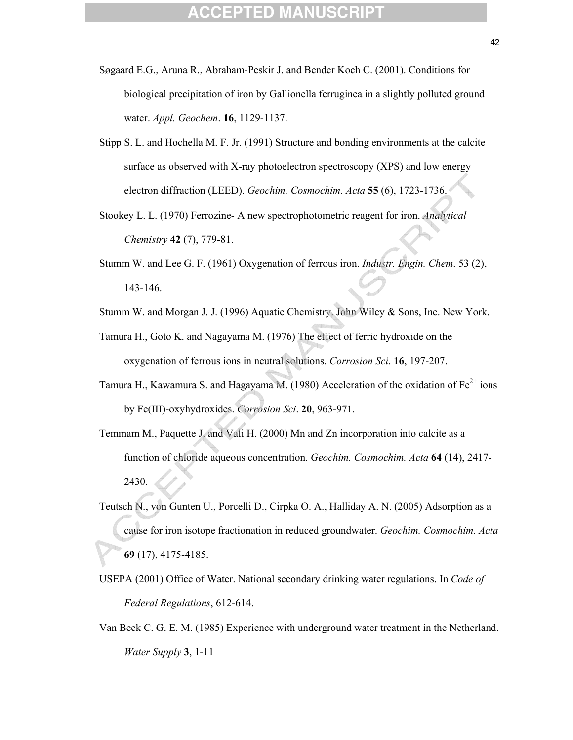- Søgaard E.G., Aruna R., Abraham-Peskir J. and Bender Koch C. (2001). Conditions for biological precipitation of iron by Gallionella ferruginea in a slightly polluted ground water. *Appl. Geochem*. **16**, 1129-1137.
- Stipp S. L. and Hochella M. F. Jr. (1991) Structure and bonding environments at the calcite surface as observed with X-ray photoelectron spectroscopy (XPS) and low energy electron diffraction (LEED). *Geochim. Cosmochim. Acta* **55** (6), 1723-1736.
- Stookey L. L. (1970) Ferrozine- A new spectrophotometric reagent for iron. *Analytical Chemistry* **42** (7), 779-81.
- Stumm W. and Lee G. F. (1961) Oxygenation of ferrous iron. *Industr. Engin. Chem*. 53 (2), 143-146.
- Stumm W. and Morgan J. J. (1996) Aquatic Chemistry. John Wiley & Sons, Inc. New York.
- Tamura H., Goto K. and Nagayama M. (1976) The effect of ferric hydroxide on the oxygenation of ferrous ions in neutral solutions. *Corrosion Sci*. **16**, 197-207.
- Tamura H., Kawamura S. and Hagayama M. (1980) Acceleration of the oxidation of  $Fe^{2+}$  ions by Fe(III)-oxyhydroxides. *Corrosion Sci*. **20**, 963-971.
- Temmam M., Paquette J. and Vali H. (2000) Mn and Zn incorporation into calcite as a function of chloride aqueous concentration. *Geochim. Cosmochim. Acta* **64** (14), 2417- 2430.
- Teutsch N., von Gunten U., Porcelli D., Cirpka O. A., Halliday A. N. (2005) Adsorption as a cause for iron isotope fractionation in reduced groundwater. *Geochim. Cosmochim. Acta* **69** (17), 4175-4185.
- USEPA (2001) Office of Water. National secondary drinking water regulations. In *Code of Federal Regulations*, 612-614.
- Van Beek C. G. E. M. (1985) Experience with underground water treatment in the Netherland. *Water Supply* **3**, 1-11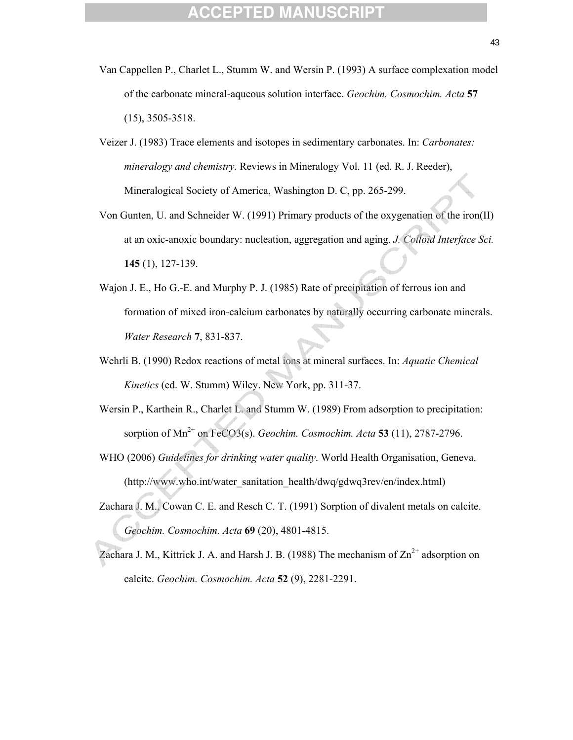- Van Cappellen P., Charlet L., Stumm W. and Wersin P. (1993) A surface complexation model of the carbonate mineral-aqueous solution interface. *Geochim. Cosmochim. Acta* **57** (15), 3505-3518.
- Veizer J. (1983) Trace elements and isotopes in sedimentary carbonates. In: *Carbonates: mineralogy and chemistry.* Reviews in Mineralogy Vol. 11 (ed. R. J. Reeder), Mineralogical Society of America, Washington D. C, pp. 265-299.
- Von Gunten, U. and Schneider W. (1991) Primary products of the oxygenation of the iron(II) at an oxic-anoxic boundary: nucleation, aggregation and aging. *J. Colloid Interface Sci.* **145** (1), 127-139.
- Wajon J. E., Ho G.-E. and Murphy P. J. (1985) Rate of precipitation of ferrous ion and formation of mixed iron-calcium carbonates by naturally occurring carbonate minerals. *Water Research* **7**, 831-837.
- Wehrli B. (1990) Redox reactions of metal ions at mineral surfaces. In: *Aquatic Chemical Kinetics* (ed. W. Stumm) Wiley. New York, pp. 311-37.
- Wersin P., Karthein R., Charlet L. and Stumm W. (1989) From adsorption to precipitation: sorption of  $Mn^{2+}$  on FeCO3(s). *Geochim. Cosmochim. Acta* **53** (11), 2787-2796.
- WHO (2006) *Guidelines for drinking water quality*. World Health Organisation, Geneva. (http://www.who.int/water\_sanitation\_health/dwq/gdwq3rev/en/index.html)
- Zachara J. M., Cowan C. E. and Resch C. T. (1991) Sorption of divalent metals on calcite. *Geochim. Cosmochim. Acta* **69** (20), 4801-4815.
- Zachara J. M., Kittrick J. A. and Harsh J. B. (1988) The mechanism of  $\text{Zn}^{2+}$  adsorption on calcite. *Geochim. Cosmochim. Acta* **52** (9), 2281-2291.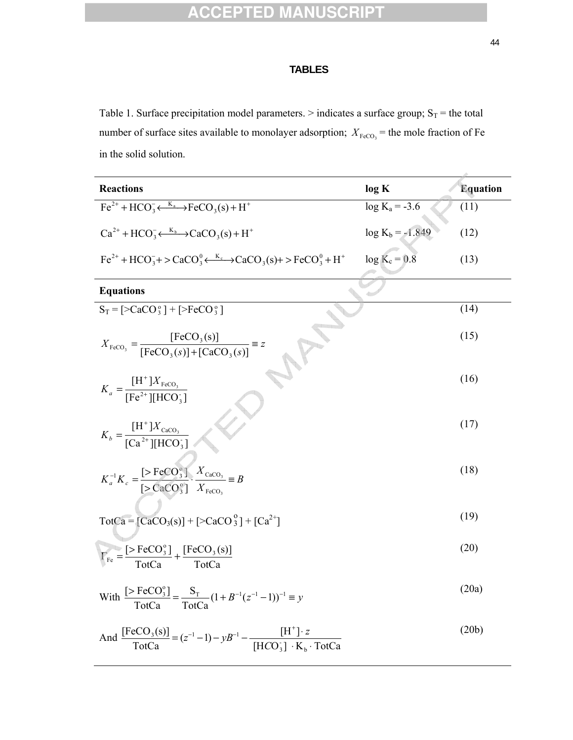### **TABLES**

Table 1. Surface precipitation model parameters. > indicates a surface group;  $S_T$  = the total number of surface sites available to monolayer adsorption;  $X_{\text{FeCO}_3}$  = the mole fraction of Fe in the solid solution.

| <b>Reactions</b>                                                                                                                                        | log K              | <b>Equation</b> |
|---------------------------------------------------------------------------------------------------------------------------------------------------------|--------------------|-----------------|
| $Fe^{2+} + HCO_3 \leftarrow \stackrel{K_a}{\longleftrightarrow} FeCO_3(s) + H^+$                                                                        | $log K_a = -3.6$   | (11)            |
| $Ca^{2+} + HCO^{-}_{3} \leftarrow \stackrel{K_b}{\longrightarrow} CaCO_{3}(s) + H^{+}$                                                                  | $log K_b = -1.849$ | (12)            |
| $Fe^{2+} + HCO_3^ \rightarrow$ $CaCO_3^0 \leftarrow \frac{K_c}{2}$ $\rightarrow$ $CaCO_3(S)$ $\rightarrow$ $FeCO_3^0 + H^+$                             | $log K_c = 0.8$    | (13)            |
| <b>Equations</b>                                                                                                                                        |                    |                 |
| $S_T = \left[ >CaCO_3^{\circ} \right] + \left[ >FeCO_3^{\circ} \right]$                                                                                 |                    | (14)            |
| $X_{\text{FeCO}_3} = \frac{\text{[FeCO}_3(\text{s})]}{\text{[FeCO}_3(\text{s})] + \text{[CaCO}_3(\text{s})]} \equiv z$                                  |                    | (15)            |
| $K_a = \frac{[H^{\top}]X_{\text{FeCO}_3}}{[Fe^{2+}][HCO_3]}$                                                                                            |                    | (16)            |
| $K_b = \frac{[H^+]X_{\text{CaCO}_3}}{[Ca^{2+}][\text{HCO}^+]}$                                                                                          |                    | (17)            |
| $K_a^{-1}K_c = \frac{[> \text{FeCO}_3^{\circ}]}{[> \text{CaCO}_3^{\circ}]} \cdot \frac{X_{\text{CaCO}_3}}{X_{\text{FeCO}_3}} \equiv B$                  |                    | (18)            |
| $\text{TotCa} = [\text{CaCO}_3(\text{s})] + [\text{CaCO}_3^{\text{o}}] + [\text{Ca}^{2+}]$                                                              |                    | (19)            |
| $\Gamma_{\text{Fe}} = \frac{[> \text{FeCO}_3^{\circ}]}{\text{TotCa}} + \frac{[\text{FeCO}_3(\text{s})]}{\text{TotCa}}$                                  |                    | (20)            |
| With $\frac{[> \text{FeCO}_3^{\circ}]}{\text{TotCa}} = \frac{S_T}{\text{TotCa}} (1 + B^{-1}(z^{-1} - 1))^{-1} \equiv y$                                 |                    | (20a)           |
| And $\frac{\text{[FeCO}_3(s)]}{\text{TotCa}} = (z^{-1} - 1) - yB^{-1} - \frac{\text{[H^+]}\cdot z}{\text{[HCO_3]} \cdot \text{K}_h \cdot \text{TotCa}}$ |                    | (20b)           |

 $[HCO_3^-] \cdot K_b \cdot TotCa$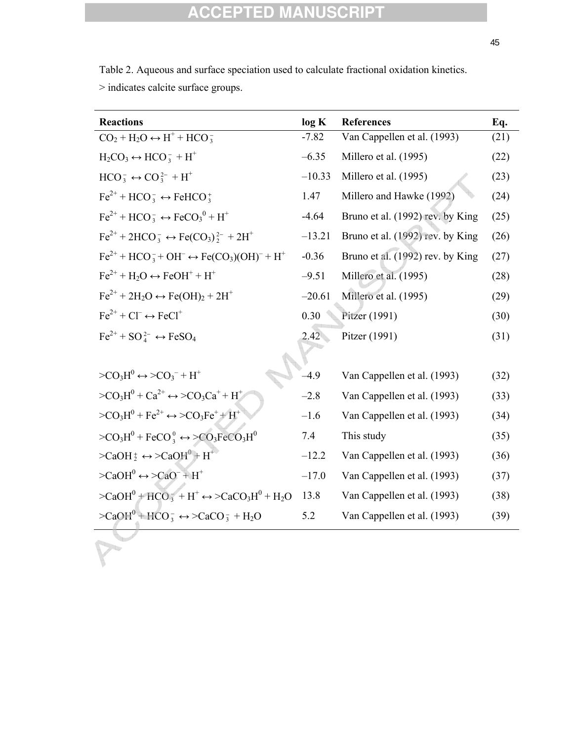| $>$ indicates calcite surface groups.                              |          |                                  |      |
|--------------------------------------------------------------------|----------|----------------------------------|------|
| <b>Reactions</b>                                                   | log K    | <b>References</b>                | Eq.  |
| $CO2 + H2O \leftrightarrow H+ + HCO3$                              | $-7.82$  | Van Cappellen et al. (1993)      | (21) |
| $H_2CO_3 \leftrightarrow HCO_3^- + H^+$                            | $-6.35$  | Millero et al. (1995)            | (22) |
| $HCO_3^- \leftrightarrow CO_3^{2-} + H^+$                          | $-10.33$ | Millero et al. (1995)            | (23) |
| $Fe^{2+} + HCO_3^- \leftrightarrow FeHCO_3^+$                      | 1.47     | Millero and Hawke (1992)         | (24) |
| $Fe^{2+} + HCO_3^- \leftrightarrow FeCO_3^0 + H^+$                 | $-4.64$  | Bruno et al. (1992) rev. by King | (25) |
| $Fe^{2+} + 2HCO_3^- \leftrightarrow Fe(CO_3)^{2-} + 2H^+$          | $-13.21$ | Bruno et al. (1992) rev. by King | (26) |
| $Fe^{2+} + HCO_3^- + OH^- \leftrightarrow Fe(CO_3)(OH)^- + H^+$    | $-0.36$  | Bruno et al. (1992) rev. by King | (27) |
| $Fe^{2+} + H_2O \leftrightarrow FeOH^+ + H^+$                      | $-9.51$  | Millero et al. (1995)            | (28) |
| $Fe^{2+} + 2H_2O \leftrightarrow Fe(OH)_2 + 2H^+$                  | $-20.61$ | Millero et al. (1995)            | (29) |
| $Fe^{2+} + Cl^{-} \leftrightarrow FeCl^{+}$                        | 0.30     | Pitzer (1991)                    | (30) |
| $Fe^{2+} + SO_4^{2-} \leftrightarrow FeSO_4$                       | 2.42     | Pitzer (1991)                    | (31) |
|                                                                    |          |                                  |      |
| $>CO3H0 \leftrightarrow >CO3- + H+$                                | $-4.9$   | Van Cappellen et al. (1993)      | (32) |
| $>CO3H0 + Ca2+ \leftrightarrow >CO3Ca+ + H+$                       | $-2.8$   | Van Cappellen et al. (1993)      | (33) |
| $>CO3H0 + Fe2+ \leftrightarrow >CO3Fe+ + H+$                       | $-1.6$   | Van Cappellen et al. (1993)      | (34) |
| $>CO3H0 + FeCO0$ $\leftrightarrow >CO3FeCO3H0$                     | 7.4      | This study                       | (35) |
| $>$ CaOH $_2^+$ $\leftrightarrow$ $>$ CaOH $_0^+$ + H <sup>+</sup> | $-12.2$  | Van Cappellen et al. (1993)      | (36) |
| $>CaOH0 \leftrightarrow >CaO- + H+$                                | $-17.0$  | Van Cappellen et al. (1993)      | (37) |
| $>CaOH0 + HCO3- + H+ \leftrightarrow CaCO3H0 + H2O$                | 13.8     | Van Cappellen et al. (1993)      | (38) |
| $>CaOH0 + HCO3 \leftrightarrow CaCO3 + H2O$                        | 5.2      | Van Cappellen et al. (1993)      | (39) |

Table 2. Aqueous and surface speciation used to calculate fractional oxidation kinetics.  $>$  indicates indicate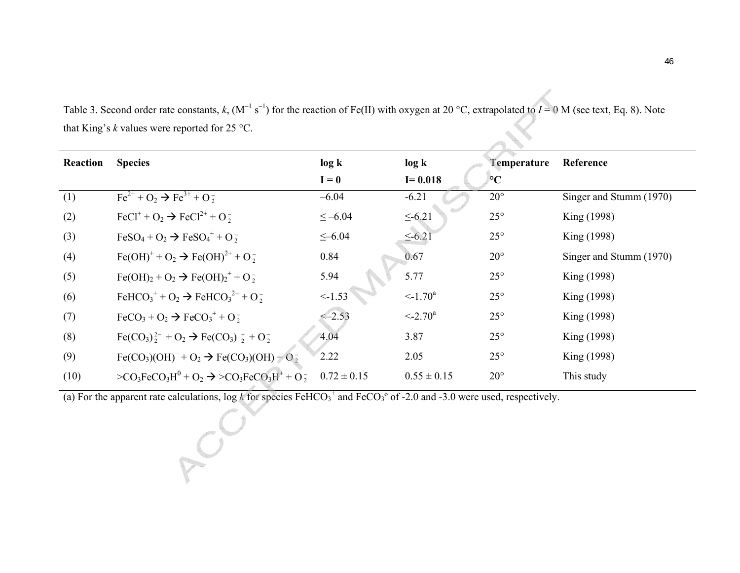| Reaction | <b>Species</b>                                                                                                   | log k           | log k                     | Temperature     | Reference               |
|----------|------------------------------------------------------------------------------------------------------------------|-----------------|---------------------------|-----------------|-------------------------|
|          |                                                                                                                  | $I = 0$         | $I = 0.018$               | $\rm ^{\circ}C$ |                         |
| (1)      | $Fe^{2+} + O_2 \rightarrow Fe^{3+} + O_2^-$                                                                      | $-6.04$         | $-6.21$                   | $20^{\circ}$    | Singer and Stumm (1970) |
| (2)      | FeCl <sup>+</sup> + $O_2 \rightarrow$ FeCl <sup>2+</sup> + $O_2^-$                                               | $\le -6.04$     | $\leq -6.21$              | $25^{\circ}$    | King (1998)             |
| (3)      | $FeSO_4 + O_2 \rightarrow FeSO_4^+ + O_2^-$                                                                      | $\leq -6.04$    | $\leq -6.21$              | $25^{\circ}$    | King (1998)             |
| (4)      | $Fe(OH)+ + O2 \rightarrow Fe(OH)2+ + O2$                                                                         | 0.84            | 0.67                      | $20^{\circ}$    | Singer and Stumm (1970) |
| (5)      | $Fe(OH)2 + O2 \rightarrow Fe(OH)2+ + O2$                                                                         | 5.94            | 5.77                      | $25^{\circ}$    | King (1998)             |
| (6)      | FeHCO <sub>3</sub> <sup>+</sup> + O <sub>2</sub> $\rightarrow$ FeHCO <sub>3</sub> <sup>2+</sup> + O <sub>2</sub> | $\le -1.53$     | $\leq$ -1.70 <sup>a</sup> | $25^{\circ}$    | King (1998)             |
| (7)      | $\text{FeCO}_3 + \text{O}_2 \rightarrow \text{FeCO}_3^+ + \text{O}_2^-$                                          | $\le -2.53$     | $\leq -2.70^{\circ}$      | $25^{\circ}$    | King (1998)             |
| (8)      | $\text{Fe(CO}_3)^{2-}_2 + \text{O}_2 \rightarrow \text{Fe(CO}_3)^{-}_2 + \text{O}_2^{-}$                         | 4.04            | 3.87                      | $25^{\circ}$    | King (1998)             |
| (9)      | $Fe(CO3)(OH)- + O2 \rightarrow Fe(CO3)(OH) + O2$                                                                 | 2.22            | 2.05                      | $25^{\circ}$    | King (1998)             |
| (10)     | $>CO_3FeCO_3H^0 + O_2 \rightarrow >CO_3FeCO_3H^+ + O_2^-$                                                        | $0.72 \pm 0.15$ | $0.55 \pm 0.15$           | $20^{\circ}$    | This study              |

Table 3. Second order rate constants,  $k$ ,  $(M^{-1} s^{-1})$  for the reaction of Fe(II) with oxygen at 20 °C, extrapolated to  $I = 0$  M (see text, Eq. 8). Note that King's *k* values were reported for 25 °C.

(a) For the apparent rate calculations,  $\log k$  for species FeHCO<sub>3</sub><sup>+</sup> and FeCO<sub>3</sub><sup>o</sup> of -2.0 and -3.0 were used, respectively.

POO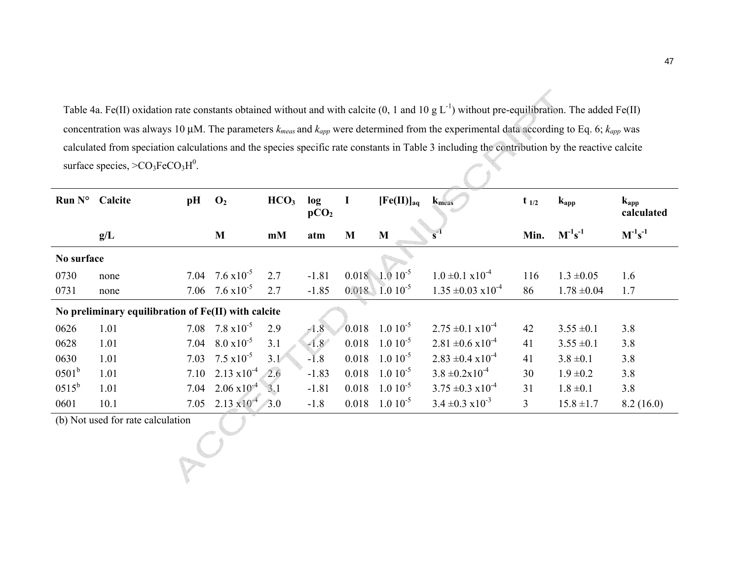Table 4a. Fe(II) oxidation rate constants obtained without and with calcite (0, 1 and 10 g  $L^{-1}$ ) without pre-equilibration. The added Fe(II) concentration was always 10 μM. The parameters *kmeas* and *kapp* were determined from the experimental data according to Eq. 6; *kapp* was calculated from speciation calculations and the species specific rate constants in Table 3 including the contribution by the reactive calcite surface species,  $>CO<sub>3</sub>FeCO<sub>3</sub>H<sup>0</sup>$ .

| Run $N^{\circ}$ Calcite |                                                     | pH   | $\mathbf{O}_2$            | HCO <sub>3</sub> | log<br>pCO <sub>2</sub> | I     | [Fe(II)] <sub>aq</sub> | $k_{meas}$                     | $t_{1/2}$ | $k_{app}$       | $k_{app}$<br>calculated |
|-------------------------|-----------------------------------------------------|------|---------------------------|------------------|-------------------------|-------|------------------------|--------------------------------|-----------|-----------------|-------------------------|
|                         | g/L                                                 |      | M                         | mM               | atm                     | M     | M                      |                                | Min.      | $M^{-1}s^{-1}$  | $M^{-1}s^{-1}$          |
| No surface              |                                                     |      |                           |                  |                         |       |                        |                                |           |                 |                         |
| 0730                    | none                                                | 7.04 | $7.6 \times 10^{-5}$      | 2.7              | $-1.81$                 |       | $0.018$ 1.0 $10^{-5}$  | $1.0 \pm 0.1 \times 10^{-4}$   | 116       | $1.3 \pm 0.05$  | 1.6                     |
| 0731                    | none                                                |      | 7.06 $7.6 \times 10^{-5}$ | 2.7              | $-1.85$                 |       | $0.018$ 1.0 $10^{-5}$  | $1.35 \pm 0.03 \times 10^{-4}$ | 86        | $1.78 \pm 0.04$ | 1.7                     |
|                         | No preliminary equilibration of Fe(II) with calcite |      |                           |                  |                         |       |                        |                                |           |                 |                         |
| 0626                    | 1.01                                                | 7.08 | $7.8 \times 10^{-5}$      | 2.9              | $-1.8$                  | 0.018 | $1.010^{-5}$           | $2.75 \pm 0.1 \times 10^{-4}$  | 42        | $3.55 \pm 0.1$  | 3.8                     |
| 0628                    | 1.01                                                | 7.04 | $8.0 \times 10^{-5}$      | 3.1              | $-1.8$                  | 0.018 | $1.010^{-5}$           | $2.81 \pm 0.6 \times 10^{-4}$  | 41        | $3.55 \pm 0.1$  | 3.8                     |
| 0630                    | 1.01                                                | 7.03 | $7.5 \times 10^{-5}$      | 3.1              | $-1.8$                  | 0.018 | $1.010^{-5}$           | $2.83 \pm 0.4 \times 10^{-4}$  | 41        | $3.8 \pm 0.1$   | 3.8                     |
| $0501^{\rm b}$          | 1.01                                                | 7.10 | $2.13 \times 10^{-4}$     | 2.6              | $-1.83$                 | 0.018 | $1.010^{-5}$           | $3.8 \pm 0.2 \times 10^{-4}$   | 30        | $1.9 \pm 0.2$   | 3.8                     |
| $0515^{\rm b}$          | 1.01                                                | 7.04 | $2.06 \times 10^{-4}$     | 3.1              | $-1.81$                 | 0.018 | $1.010^{-5}$           | $3.75 \pm 0.3 \times 10^{-4}$  | 31        | $1.8 \pm 0.1$   | 3.8                     |
| 0601                    | 10.1                                                | 7.05 | $2.13 \times 10^{-4}$     | $-3.0$           | $-1.8$                  | 0.018 | $1.010^{-5}$           | $3.4 \pm 0.3 \times 10^{-3}$   | 3         | $15.8 \pm 1.7$  | 8.2(16.0)               |

(b) Not used for rate calculation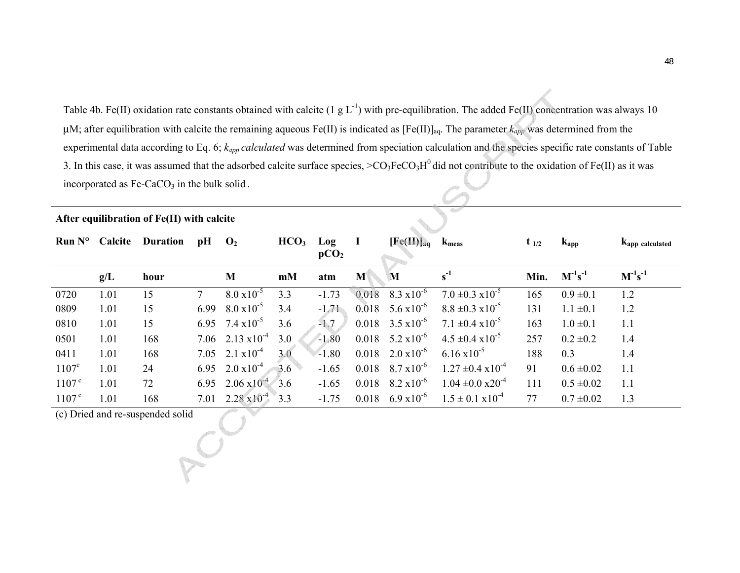Table 4b. Fe(II) oxidation rate constants obtained with calcite (1 g L<sup>-1</sup>) with pre-equilibration. The added Fe(II) concentration was always 10 μM; after equilibration with calcite the remaining aqueous Fe(II) is indicated as [Fe(II)]<sub>aq</sub>. The parameter k<sub>app</sub> was determined from the experimental data according to Eq. 6; *kapp calculated* was determined from speciation calculation and the species specific rate constants of Table 3. In this case, it was assumed that the adsorbed calcite surface species,  $>CO<sub>3</sub>FeCO<sub>3</sub>H<sup>0</sup>$  did not contribute to the oxidation of Fe(II) as it was incorporated as  $Fe-CaCO<sub>3</sub>$  in the bulk solid.

|                                  | $Run No$ Calcite | <b>Duration</b> | pH          | $\mathbf{O}_2$        | HCO <sub>3</sub> | Log<br>pCO <sub>2</sub> | $\mathbf I$ | $[Fe(II)]_{aq}$              | $k_{meas}$                    | $t_{1/2}$ | $k_{app}$      | Kapp calculated                  |
|----------------------------------|------------------|-----------------|-------------|-----------------------|------------------|-------------------------|-------------|------------------------------|-------------------------------|-----------|----------------|----------------------------------|
|                                  | g/L              | hour            |             | M                     | mM               | atm                     | M           | M                            | $s^{-1}$                      | Min.      | $M^{-1}s^{-1}$ | $\mathbf{M}^{-1}\mathbf{s}^{-1}$ |
| 0720                             | 1.01             | 15              | $7^{\circ}$ | $8.0 \times 10^{-5}$  | 3.3              | $-1.73$                 | 0.018       | $8.3 \times 10^{-6}$         | $7.0 \pm 0.3 \times 10^{-5}$  | 165       | $0.9 \pm 0.1$  | 1.2                              |
| 0809                             | 1.01             | 15              | 6.99        | $8.0 \times 10^{-5}$  | 3.4              | $-1.71$                 | 0.018       | $5.6 \times 10^{-6}$         | $8.8 \pm 0.3 \times 10^{-5}$  | 131       | $1.1 \pm 0.1$  | 1.2                              |
| 0810                             | 1.01             | 15              | 6.95        | $7.4 \times 10^{-5}$  | 3.6              | $-1.7$                  |             | $0.018$ 3.5 $\times 10^{-6}$ | $7.1 \pm 0.4 \times 10^{-5}$  | 163       | $1.0 \pm 0.1$  | 1.1                              |
| 0501                             | 1.01             | 168             | 7.06        | $2.13 \times 10^{-4}$ | 3.0              | $-1.80$                 | 0.018       | $5.2 \times 10^{-6}$         | $4.5 \pm 0.4 \times 10^{-5}$  | 257       | $0.2 \pm 0.2$  | 1.4                              |
| 0411                             | 1.01             | 168             | 7.05        | $2.1 \times 10^{-4}$  | 3.0              | $-1.80$                 | 0.018       | $2.0 \times 10^{-6}$         | $6.16 \times 10^{-5}$         | 188       | 0.3            | 1.4                              |
| $1107^{\circ}$                   | 1.01             | 24              | 6.95        | $2.0 \times 10^{-4}$  | 3.6              | $-1.65$                 |             | $0.018$ 8.7 $\times 10^{-6}$ | $1.27 \pm 0.4 \times 10^{-4}$ | 91        | $0.6 \pm 0.02$ | 1.1                              |
| 1107 <sup>c</sup>                | 1.01             | 72              | 6.95        | $2.06 \times 10^{-4}$ | 3.6              | $-1.65$                 | 0.018       | $8.2 \times 10^{-6}$         | $1.04 \pm 0.0 \times 20^{-4}$ | 111       | $0.5 \pm 0.02$ | 1.1                              |
| 1107 <sup>c</sup>                | 1.01             | 168             | 7.01        | $2.28 \times 10^{-4}$ | 3.3              | $-1.75$                 | 0.018       | $6.9 \times 10^{-6}$         | $1.5 \pm 0.1 \times 10^{-4}$  | 77        | $0.7 \pm 0.02$ | 1.3                              |
| (c) Dried and re-suspended solid |                  |                 |             |                       |                  |                         |             |                              |                               |           |                |                                  |

**After equilibration of Fe(II) with calcite**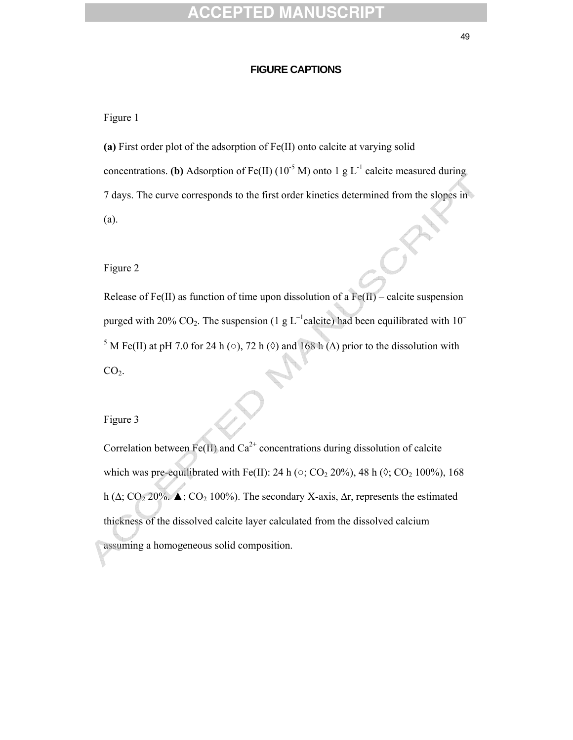#### 49 and 2012 and 2013 and 2014 and 2014 and 2014 and 2014 and 2014 and 2014 and 2014 and 2014 and 2014 and 201

#### **FIGURE CAPTIONS**

Figure 1

**(a)** First order plot of the adsorption of Fe(II) onto calcite at varying solid concentrations. **(b)** Adsorption of Fe(II) ( $10^{-5}$  M) onto 1 g L<sup>-1</sup> calcite measured during 7 days. The curve corresponds to the first order kinetics determined from the slopes in (a).

Figure 2

Release of Fe(II) as function of time upon dissolution of a  $Fe(H)$  – calcite suspension purged with 20% CO<sub>2</sub>. The suspension (1 g  $L^{-1}$ calcite) had been equilibrated with 10<sup>-</sup> <sup>5</sup> M Fe(II) at pH 7.0 for 24 h (○), 72 h (◊) and 168 h ( $\Delta$ ) prior to the dissolution with  $CO<sub>2</sub>$ .

Figure 3

Correlation between Fe(II) and  $Ca^{2+}$  concentrations during dissolution of calcite which was pre-equilibrated with Fe(II): 24 h ( $\circ$ ; CO<sub>2</sub> 20%), 48 h ( $\circ$ ; CO<sub>2</sub> 100%), 168 h (∆; CO2 20%. **▲**; CO2 100%). The secondary X-axis, ∆r, represents the estimated thickness of the dissolved calcite layer calculated from the dissolved calcium assuming a homogeneous solid composition.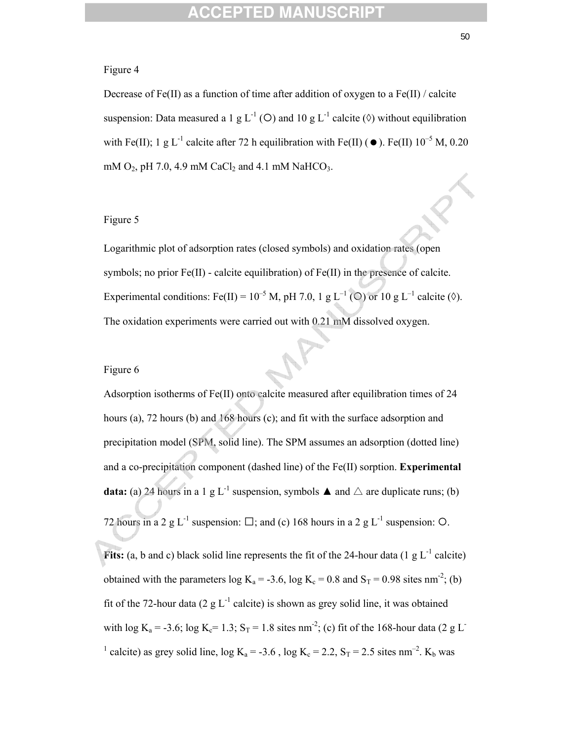#### Figure 4

Decrease of Fe(II) as a function of time after addition of oxygen to a Fe(II) / calcite suspension: Data measured a 1 g L<sup>-1</sup> (O) and 10 g L<sup>-1</sup> calcite ( $\Diamond$ ) without equilibration with Fe(II); 1 g L<sup>-1</sup> calcite after 72 h equilibration with Fe(II) ( $\bullet$ ). Fe(II) 10<sup>-5</sup> M, 0.20 mM  $O_2$ , pH 7.0, 4.9 mM CaCl<sub>2</sub> and 4.1 mM NaHCO<sub>3</sub>.

### Figure 5

Logarithmic plot of adsorption rates (closed symbols) and oxidation rates (open symbols; no prior Fe(II) - calcite equilibration) of Fe(II) in the presence of calcite. Experimental conditions: Fe(II) =  $10^{-5}$  M, pH 7.0, 1 g L<sup>-1</sup> (○) or 10 g L<sup>-1</sup> calcite (◊). The oxidation experiments were carried out with 0.21 mM dissolved oxygen.

#### Figure 6

Adsorption isotherms of Fe(II) onto calcite measured after equilibration times of 24 hours (a), 72 hours (b) and 168 hours (c); and fit with the surface adsorption and precipitation model (SPM, solid line). The SPM assumes an adsorption (dotted line) and a co-precipitation component (dashed line) of the Fe(II) sorption. **Experimental data:** (a) 24 hours in a 1 g L<sup>-1</sup> suspension, symbols  $\blacktriangle$  and  $\triangle$  are duplicate runs; (b) 72 hours in a 2 g L<sup>-1</sup> suspension:  $\Box$ ; and (c) 168 hours in a 2 g L<sup>-1</sup> suspension: O.

**Fits:** (a, b and c) black solid line represents the fit of the 24-hour data (1  $g L^{-1}$  calcite) obtained with the parameters log  $K_a = -3.6$ , log  $K_c = 0.8$  and  $S_T = 0.98$  sites nm<sup>-2</sup>; (b) fit of the 72-hour data (2 g  $L^{-1}$  calcite) is shown as grey solid line, it was obtained with log K<sub>a</sub> = -3.6; log K<sub>c</sub>= 1.3; S<sub>T</sub> = 1.8 sites nm<sup>-2</sup>; (c) fit of the 168-hour data (2 g L<sup>-</sup> <sup>1</sup> calcite) as grey solid line,  $log K_a = -3.6$ ,  $log K_c = 2.2$ ,  $S_T = 2.5$  sites nm<sup>-2</sup>.  $K_b$  was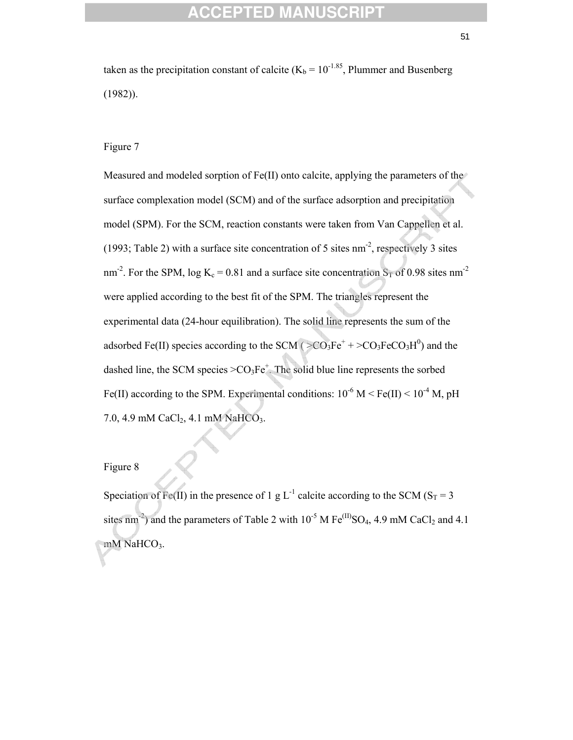taken as the precipitation constant of calcite ( $K_b = 10^{-1.85}$ , Plummer and Busenberg (1982)).

#### Figure 7

Measured and modeled sorption of Fe(II) onto calcite, applying the parameters of the surface complexation model (SCM) and of the surface adsorption and precipitation model (SPM). For the SCM, reaction constants were taken from Van Cappellen et al. (1993; Table 2) with a surface site concentration of 5 sites  $nm<sup>-2</sup>$ , respectively 3 sites nm<sup>-2</sup>. For the SPM, log K<sub>c</sub> = 0.81 and a surface site concentration S<sub>T</sub> of 0.98 sites nm<sup>-2</sup> were applied according to the best fit of the SPM. The triangles represent the experimental data (24-hour equilibration). The solid line represents the sum of the adsorbed Fe(II) species according to the SCM ( $>CO_3Fe^+ + >CO_3FeCO_3H^0$ ) and the dashed line, the SCM species  $>CO_3Fe^+$ . The solid blue line represents the sorbed Fe(II) according to the SPM. Experimental conditions:  $10^{-6}$  M < Fe(II) <  $10^{-4}$  M, pH 7.0, 4.9 mM CaCl<sub>2</sub>, 4.1 mM NaHCO<sub>3</sub>.

### Figure 8

Speciation of Fe(II) in the presence of 1 g L<sup>-1</sup> calcite according to the SCM (S<sub>T</sub> = 3) sites nm<sup>-2</sup>) and the parameters of Table 2 with  $10^{-5}$  M Fe<sup>(II)</sup>SO<sub>4</sub>, 4.9 mM CaCl<sub>2</sub> and 4.1 mM NaHCO<sub>3</sub>.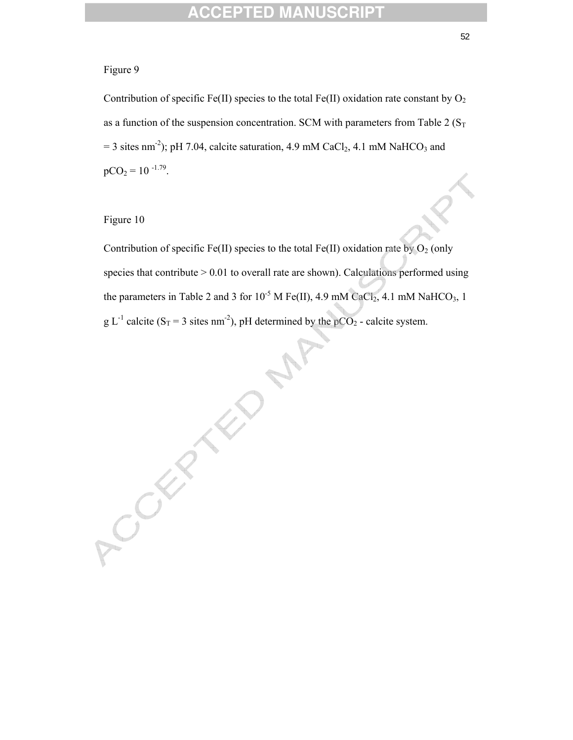### Figure 9

Contribution of specific Fe(II) species to the total Fe(II) oxidation rate constant by  $O_2$ as a function of the suspension concentration. SCM with parameters from Table 2 ( $S_T$ )  $= 3$  sites nm<sup>-2</sup>); pH 7.04, calcite saturation, 4.9 mM CaCl<sub>2</sub>, 4.1 mM NaHCO<sub>3</sub> and  $pCO<sub>2</sub> = 10^{-1.79}$ .

### Figure 10

Contribution of specific Fe(II) species to the total Fe(II) oxidation rate by  $O_2$  (only species that contribute  $> 0.01$  to overall rate are shown). Calculations performed using the parameters in Table 2 and 3 for  $10^{-5}$  M Fe(II), 4.9 mM CaCl<sub>2</sub>, 4.1 mM NaHCO<sub>3</sub>, 1 g L<sup>-1</sup> calcite (S<sub>T</sub> = 3 sites nm<sup>-2</sup>), pH determined by the pCO<sub>2</sub> - calcite system.

Creek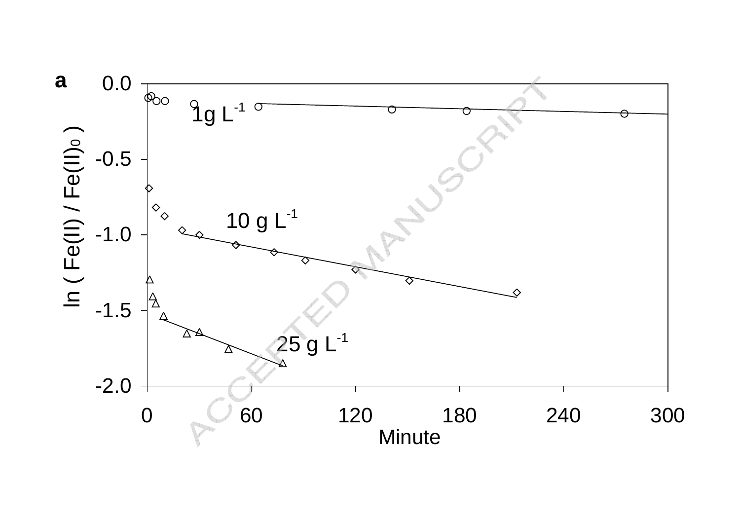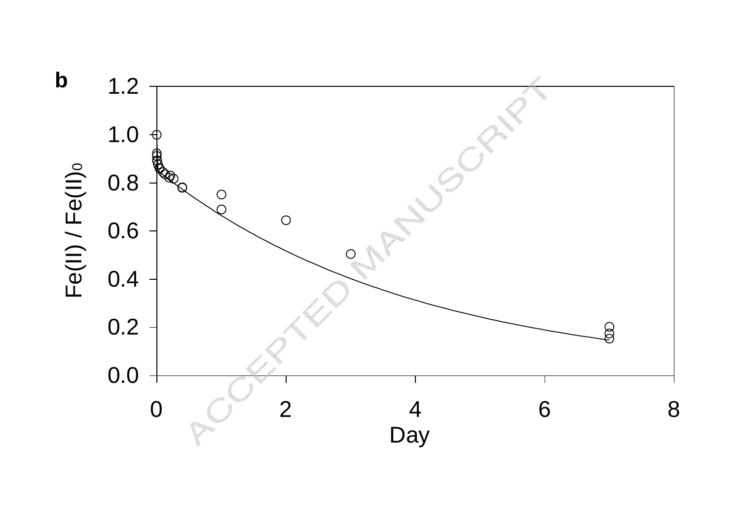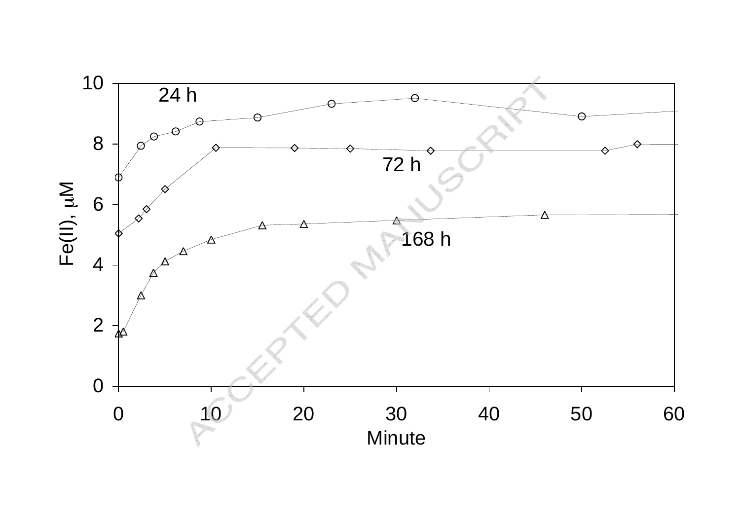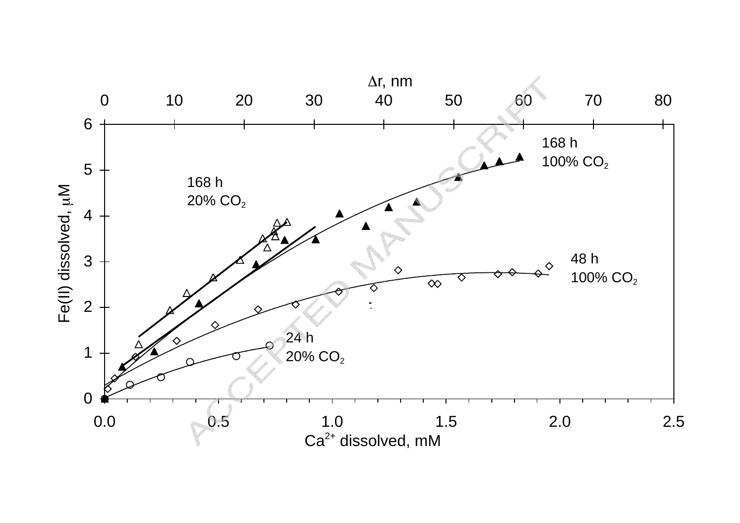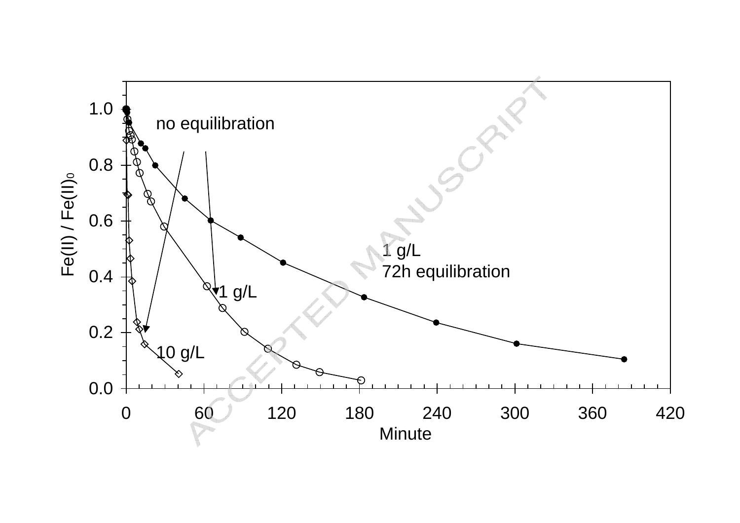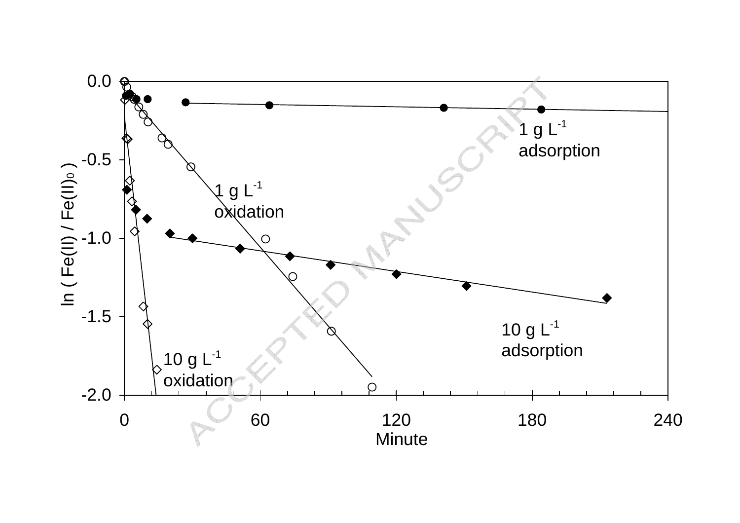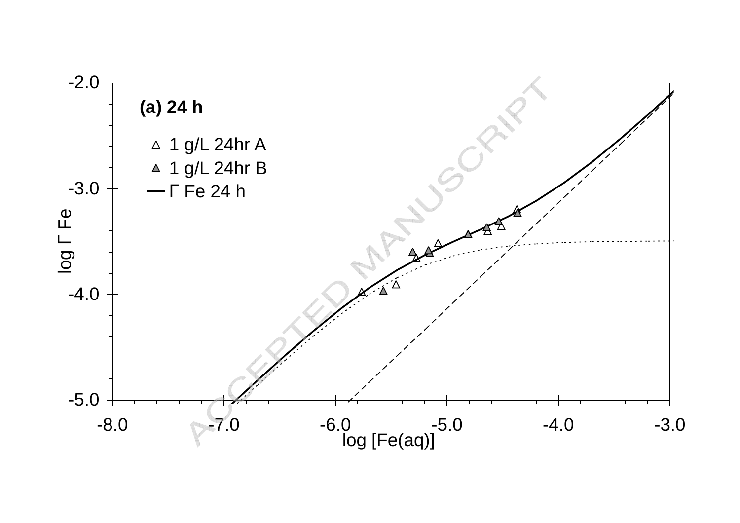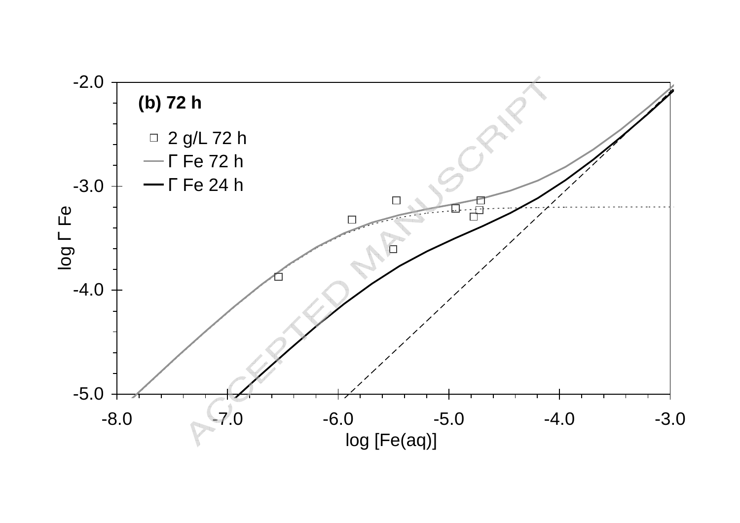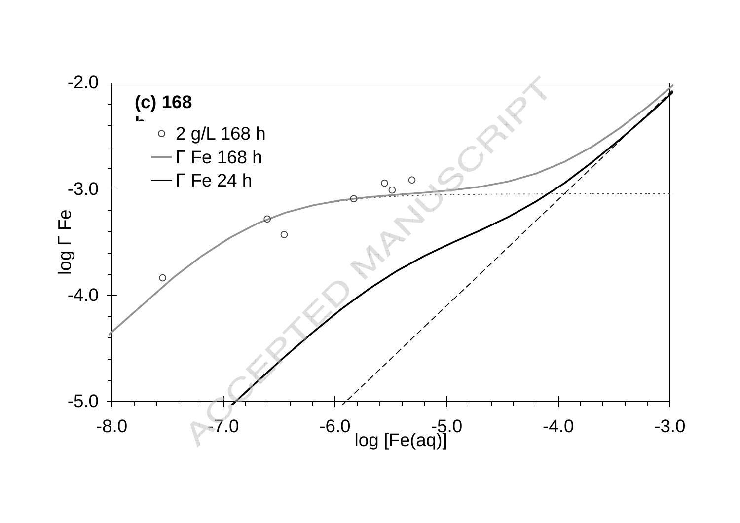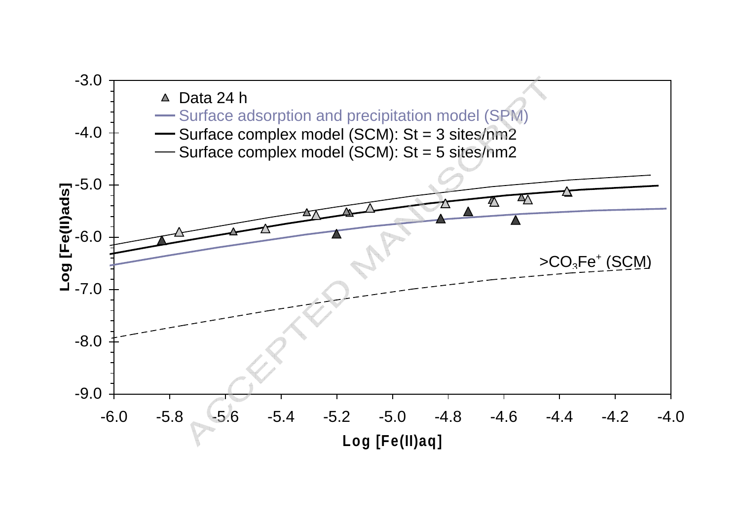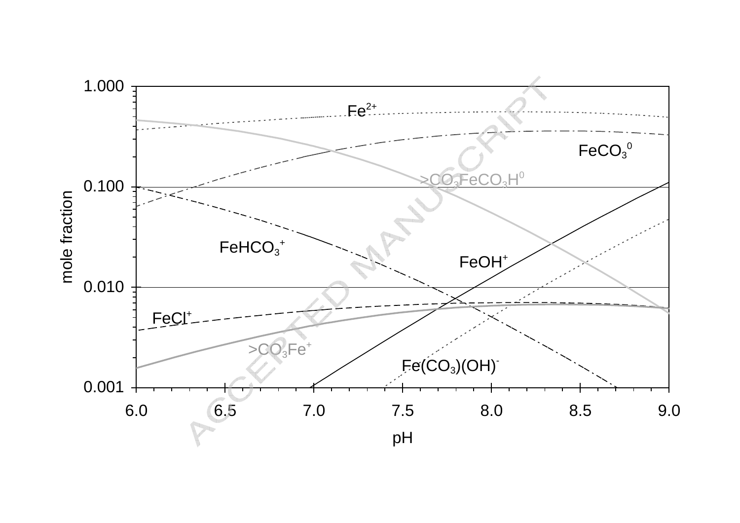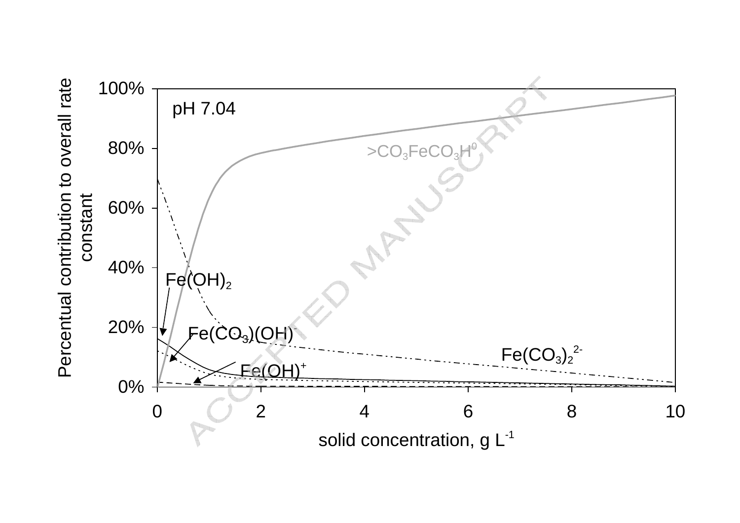